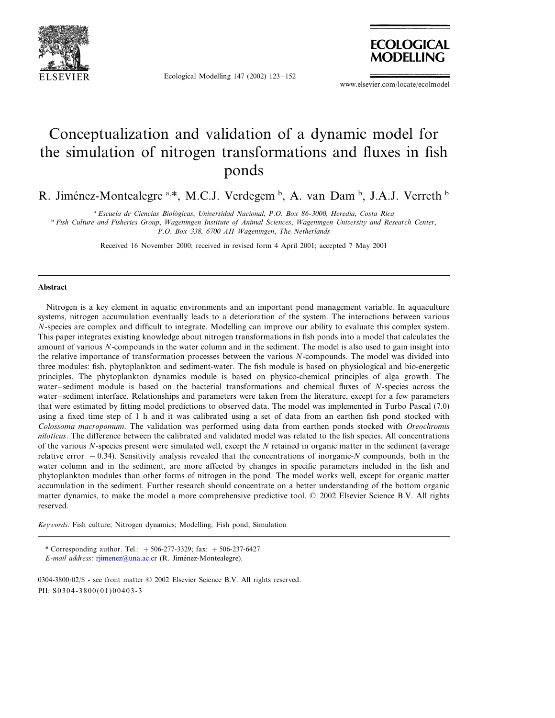

Ecological Modelling 147 (2002) 123–152



www.elsevier.com/locate/ecolmodel

# Conceptualization and validation of a dynamic model for the simulation of nitrogen transformations and fluxes in fish ponds

R. Jiménez-Montealegre a,\*, M.C.J. Verdegem <sup>b</sup>, A. van Dam <sup>b</sup>, J.A.J. Verreth <sup>b</sup>

<sup>a</sup> *Escuela de Ciencias Biolo´gicas*, *Uniersidad Nacional*, *P*.*O*. *Box* <sup>86</sup>-3000, *Heredia*, *Costa Rica*

<sup>b</sup> *Fish Culture and Fisheries Group*, *Wageningen Institute of Animal Sciences*, *Wageningen Uniersity and Research Center*, *P*.*O*. *Box* 338, 6700 *AH Wageningen*, *The Netherlands*

Received 16 November 2000; received in revised form 4 April 2001; accepted 7 May 2001

#### **Abstract**

Nitrogen is a key element in aquatic environments and an important pond management variable. In aquaculture systems, nitrogen accumulation eventually leads to a deterioration of the system. The interactions between various *N*-species are complex and difficult to integrate. Modelling can improve our ability to evaluate this complex system. This paper integrates existing knowledge about nitrogen transformations in fish ponds into a model that calculates the amount of various *N*-compounds in the water column and in the sediment. The model is also used to gain insight into the relative importance of transformation processes between the various *N*-compounds. The model was divided into three modules: fish, phytoplankton and sediment-water. The fish module is based on physiological and bio-energetic principles. The phytoplankton dynamics module is based on physico-chemical principles of alga growth. The water–sediment module is based on the bacterial transformations and chemical fluxes of *N*-species across the water–sediment interface. Relationships and parameters were taken from the literature, except for a few parameters that were estimated by fitting model predictions to observed data. The model was implemented in Turbo Pascal (7.0) using a fixed time step of 1 h and it was calibrated using a set of data from an earthen fish pond stocked with *Colossoma macropomum*. The validation was performed using data from earthen ponds stocked with *Oreochromis niloticus*. The difference between the calibrated and validated model was related to the fish species. All concentrations of the various *N*-species present were simulated well, except the *N* retained in organic matter in the sediment (average relative error −0.34). Sensitivity analysis revealed that the concentrations of inorganic-*N* compounds, both in the water column and in the sediment, are more affected by changes in specific parameters included in the fish and phytoplankton modules than other forms of nitrogen in the pond. The model works well, except for organic matter accumulation in the sediment. Further research should concentrate on a better understanding of the bottom organic matter dynamics, to make the model a more comprehensive predictive tool. © 2002 Elsevier Science B.V. All rights reserved.

*Keywords*: Fish culture; Nitrogen dynamics; Modelling; Fish pond; Simulation

<sup>\*</sup> Corresponding author. Tel.:  $+506-277-3329$ ; fax:  $+506-237-6427$ .

*E-mail address: [rjimenez@una.ac.cr](mailto:rjimenez@una.ac.cr) (R. Jiménez-Montealegre).*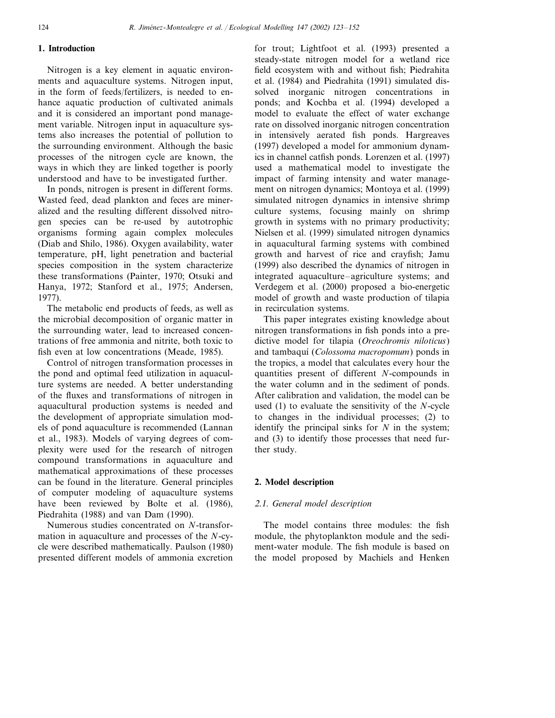# **1. Introduction**

Nitrogen is a key element in aquatic environments and aquaculture systems. Nitrogen input, in the form of feeds/fertilizers, is needed to enhance aquatic production of cultivated animals and it is considered an important pond management variable. Nitrogen input in aquaculture systems also increases the potential of pollution to the surrounding environment. Although the basic processes of the nitrogen cycle are known, the ways in which they are linked together is poorly understood and have to be investigated further.

In ponds, nitrogen is present in different forms. Wasted feed, dead plankton and feces are mineralized and the resulting different dissolved nitrogen species can be re-used by autotrophic organisms forming again complex molecules (Diab and Shilo, 1986). Oxygen availability, water temperature, pH, light penetration and bacterial species composition in the system characterize these transformations (Painter, 1970; Otsuki and Hanya, 1972; Stanford et al., 1975; Andersen, 1977).

The metabolic end products of feeds, as well as the microbial decomposition of organic matter in the surrounding water, lead to increased concentrations of free ammonia and nitrite, both toxic to fish even at low concentrations (Meade, 1985).

Control of nitrogen transformation processes in the pond and optimal feed utilization in aquaculture systems are needed. A better understanding of the fluxes and transformations of nitrogen in aquacultural production systems is needed and the development of appropriate simulation models of pond aquaculture is recommended (Lannan et al., 1983). Models of varying degrees of complexity were used for the research of nitrogen compound transformations in aquaculture and mathematical approximations of these processes can be found in the literature. General principles of computer modeling of aquaculture systems have been reviewed by Bolte et al. (1986), Piedrahita (1988) and van Dam (1990).

Numerous studies concentrated on *N*-transformation in aquaculture and processes of the *N*-cycle were described mathematically. Paulson (1980) presented different models of ammonia excretion for trout; Lightfoot et al. (1993) presented a steady-state nitrogen model for a wetland rice field ecosystem with and without fish; Piedrahita et al. (1984) and Piedrahita (1991) simulated dissolved inorganic nitrogen concentrations in ponds; and Kochba et al. (1994) developed a model to evaluate the effect of water exchange rate on dissolved inorganic nitrogen concentration in intensively aerated fish ponds. Hargreaves (1997) developed a model for ammonium dynamics in channel catfish ponds. Lorenzen et al. (1997) used a mathematical model to investigate the impact of farming intensity and water management on nitrogen dynamics; Montoya et al. (1999) simulated nitrogen dynamics in intensive shrimp culture systems, focusing mainly on shrimp growth in systems with no primary productivity; Nielsen et al. (1999) simulated nitrogen dynamics in aquacultural farming systems with combined growth and harvest of rice and crayfish; Jamu (1999) also described the dynamics of nitrogen in integrated aquaculture–agriculture systems; and Verdegem et al. (2000) proposed a bio-energetic model of growth and waste production of tilapia in recirculation systems.

This paper integrates existing knowledge about nitrogen transformations in fish ponds into a predictive model for tilapia (*Oreochromis niloticus*) and tambaqu´ı (*Colossoma macropomum*) ponds in the tropics, a model that calculates every hour the quantities present of different *N*-compounds in the water column and in the sediment of ponds. After calibration and validation, the model can be used (1) to evaluate the sensitivity of the *N*-cycle to changes in the individual processes; (2) to identify the principal sinks for *N* in the system; and (3) to identify those processes that need further study.

#### **2. Model description**

#### <sup>2</sup>.1. *General model description*

The model contains three modules: the fish module, the phytoplankton module and the sediment-water module. The fish module is based on the model proposed by Machiels and Henken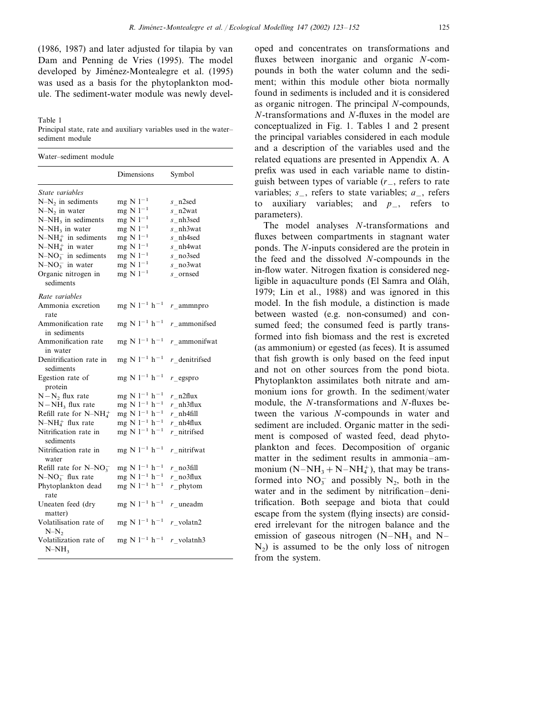(1986, 1987) and later adjusted for tilapia by van Dam and Penning de Vries (1995). The model developed by Jiménez-Montealegre et al. (1995) was used as a basis for the phytoplankton module. The sediment-water module was newly devel-

Table 1

Principal state, rate and auxiliary variables used in the water– sediment module

|                                     | Dimensions                     | Symbol                 |
|-------------------------------------|--------------------------------|------------------------|
| State variables                     |                                |                        |
| $N-N_2$ in sediments                | $mg \text{ N } 1^{-1}$         | s n2sed                |
| $N-N_2$ in water                    | mg $N l^{-1}$                  | $s$ _n2wat             |
| $N-NH_3$ in sediments               | mg $N l^{-1}$                  | s nh3sed               |
| $N-NH_3$ in water                   | mg N $1^{-1}$                  | $s$ nh 3wat            |
| $N-NH4+$ in sediments               | $mg \text{ N } 1^{-1}$         | s nh4sed               |
| $N-NH_4^+$ in water                 | $mg \text{ N } 1^{-1}$         | s_nh4wat               |
| $N-NO_3^-$ in sediments             | mg $N$ $l^{-1}$                | s_no3sed               |
| $N-NO_3^-$ in water                 | mg $N l^{-1}$                  | $s$ no 3 wat           |
| Organic nitrogen in                 | mg $N$ $1^{-1}$                | $s$ _ ornsed           |
| sediments                           |                                |                        |
| Rate variables                      |                                |                        |
| Ammonia excretion<br>rate           | mg N $1^{-1}$ h <sup>-1</sup>  | $r_{\perp}$ ammnpro    |
| Ammonification rate<br>in sediments | mg N $1^{-1}$ h <sup>-1</sup>  | $r$ ammonifsed         |
| Ammonification rate<br>in water     | mg N $1^{-1}$ h <sup>-1</sup>  | r ammonifwat           |
| Denitrification rate in             | mg N $1^{-1}$ h <sup>-1</sup>  | r denitrifsed          |
| sediments                           |                                |                        |
| Egestion rate of                    | mg N $1^{-1}$ h <sup>-1</sup>  | r_egspro               |
| protein                             |                                |                        |
| $N - N_2$ flux rate                 | mg N $1^{-1}$ h <sup>-1</sup>  | $r$ _n2flux            |
| $N-NH_3$ flux rate                  | mg N $\rm 1^{-1}$ $\rm h^{-1}$ | $r_{\rm n}$ nh3flux    |
| Refill rate for $N-NH_4^+$          | mg N $\rm 1^{-1}$ h $^{-1}$    | $r$ nh4fill            |
| $N-NH_4^+$ flux rate                | mg N $1^{-1}$ h <sup>-1</sup>  | $r$ nh4flux            |
| Nitrification rate in<br>sediments  | mg N $1^{-1}$ h <sup>-1</sup>  | $r$ nitrifsed          |
| Nitrification rate in<br>water      | mg N $1^{-1}$ h <sup>-1</sup>  | r nitrifwat            |
| Refill rate for $N-NO_3^-$          | mg N $1^{-1}$ h <sup>-1</sup>  | $r$ _no3fill           |
| $N-NO_3^-$ flux rate                | mg N $\rm 1^{-1}$ $\rm h^{-1}$ | r no3flux              |
| Phytoplankton dead<br>rate          | mg N $1^{-1}$ h <sup>-1</sup>  | $r$ _phytom            |
| Uneaten feed (dry<br>matter)        | mg N $1^{-1}$ h <sup>-1</sup>  | r uneadm               |
| Volatilisation rate of<br>$N-N$     | mg N $1^{-1}$ h <sup>-1</sup>  | $r_{\text{-}}$ volatn2 |
| Volatilization rate of<br>$N-NH_3$  | $mg N l^{-1} h^{-1}$           | $r$ _volatnh3          |

oped and concentrates on transformations and fluxes between inorganic and organic *N*-compounds in both the water column and the sediment; within this module other biota normally found in sediments is included and it is considered as organic nitrogen. The principal *N*-compounds, *N*-transformations and *N*-fluxes in the model are conceptualized in Fig. 1. Tables 1 and 2 present the principal variables considered in each module and a description of the variables used and the related equations are presented in Appendix A. A prefix was used in each variable name to distinguish between types of variable  $(r<sub>-</sub>)$ , refers to rate variables;  $s_$ , refers to state variables;  $a_$ , refers to auxiliary variables; and  $p_{-}$ , refers to parameters).

The model analyses *N*-transformations and fluxes between compartments in stagnant water ponds. The *N*-inputs considered are the protein in the feed and the dissolved *N*-compounds in the in-flow water. Nitrogen fixation is considered negligible in aquaculture ponds (El Samra and Oláh, 1979; Lin et al., 1988) and was ignored in this model. In the fish module, a distinction is made between wasted (e.g. non-consumed) and consumed feed; the consumed feed is partly transformed into fish biomass and the rest is excreted (as ammonium) or egested (as feces). It is assumed that fish growth is only based on the feed input and not on other sources from the pond biota. Phytoplankton assimilates both nitrate and ammonium ions for growth. In the sediment/water module, the *N*-transformations and *N*-fluxes between the various *N*-compounds in water and sediment are included. Organic matter in the sediment is composed of wasted feed, dead phytoplankton and feces. Decomposition of organic matter in the sediment results in ammonia–ammonium  $(N-NH<sub>3</sub> + N-NH<sub>4</sub><sup>+</sup>)$ , that may be transformed into  $NO_3^-$  and possibly  $N_2$ , both in the water and in the sediment by nitrification–denitrification. Both seepage and biota that could escape from the system (flying insects) are considered irrelevant for the nitrogen balance and the emission of gaseous nitrogen  $(N-NH<sub>3</sub>$  and N–  $N_2$ ) is assumed to be the only loss of nitrogen from the system.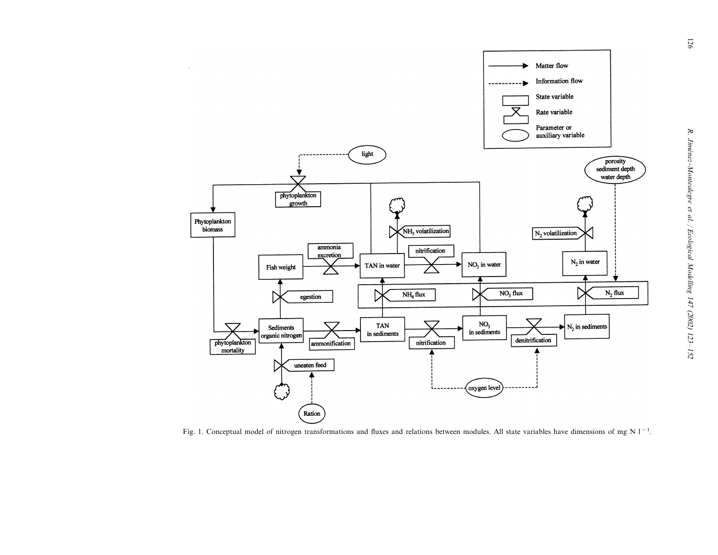

Fig. 1. Conceptual model of nitrogen transformations and fluxes and relations between modules. All state variables have dimensions of mg <sup>N</sup> <sup>l</sup>−<sup>1</sup>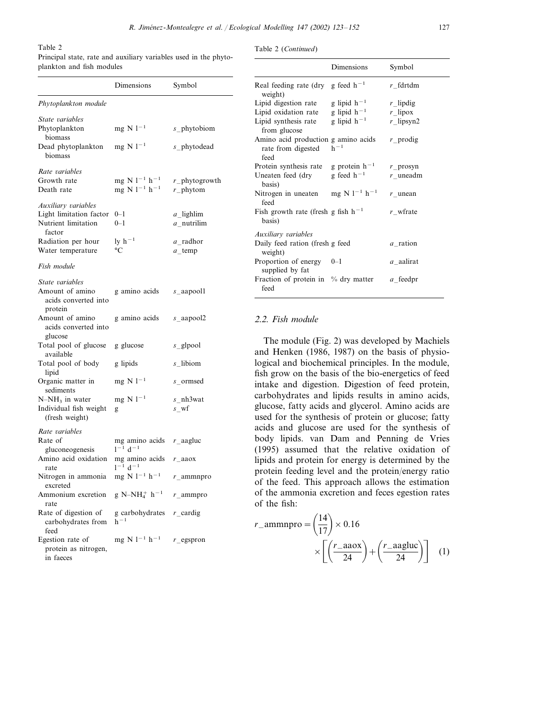#### Table 2

Principal state, rate and auxiliary variables used in the phytoplankton and fish modules

|                                                                                                                            | Dimensions                                                     | Symbol                                              |
|----------------------------------------------------------------------------------------------------------------------------|----------------------------------------------------------------|-----------------------------------------------------|
| Phytoplankton module                                                                                                       |                                                                |                                                     |
| State variables<br>Phytoplankton<br>biomass<br>Dead phytoplankton<br>biomass                                               | mg $N l^{-1}$<br>mg $N l^{-1}$                                 | $s$ _phytobiom<br>s_phytodead                       |
| Rate variables<br>Growth rate<br>Death rate                                                                                | mg N $1^{-1}$ h <sup>-1</sup><br>mg N $1^{-1}$ h <sup>-1</sup> | r_phytogrowth<br>$r$ _phytom                        |
| Auxiliary variables<br>Light limitation factor<br>Nutrient limitation<br>factor<br>Radiation per hour<br>Water temperature | $_{0-1}$<br>$0 - 1$<br>$ly h-1$<br>$\rm ^{\circ}C$             | $a$ _lighlim<br>a nutrilim<br>a_radhor<br>$a$ _temp |
| Fish module                                                                                                                |                                                                |                                                     |
| State variables<br>Amount of amino<br>acids converted into<br>protein                                                      | g amino acids                                                  | $s$ apool1                                          |
| Amount of amino<br>acids converted into<br>glucose                                                                         | g amino acids                                                  | $s$ apool2                                          |
| Total pool of glucose<br>available                                                                                         | g glucose                                                      | $s$ glpool                                          |
| Total pool of body<br>lipid                                                                                                | g lipids                                                       | s libiom                                            |
| Organic matter in<br>sediments                                                                                             | mg $N l^{-1}$                                                  | s_ormsed                                            |
| $N-NH_3$ in water<br>Individual fish weight<br>(fresh weight)                                                              | mg N $1^{-1}$<br>g                                             | s_nh3wat<br>$s$ wf                                  |
| Rate variables<br>Rate of                                                                                                  | mg amino acids $r$ _aagluc<br>$1^{-1}$ d <sup>-1</sup>         |                                                     |
| gluconeogenesis<br>Amino acid oxidation                                                                                    | mg amino acids                                                 | $r$ aaox                                            |
| rate<br>Nitrogen in ammonia                                                                                                | $1^{-1}$ d <sup>-1</sup><br>mg N $1^{-1}$ h <sup>-1</sup>      | $r_{\perp}$ ammnpro                                 |
| excreted<br>Ammonium excretion g N-NH $_{4}^{+}$ h <sup>-1</sup> $r_{a}$ ammpro                                            |                                                                |                                                     |
| rate<br>Rate of digestion of<br>carbohydrates from<br>feed                                                                 | g carbohydrates $r$ _cardig<br>$h^{-1}$                        |                                                     |
| Egestion rate of<br>protein as nitrogen,<br>in faeces                                                                      | mg N $1^{-1}$ h <sup>-1</sup>                                  | $r$ egspron                                         |

|  | Table 2 (Continued) |
|--|---------------------|
|--|---------------------|

|                                                                   | Dimensions         | Symbol                |
|-------------------------------------------------------------------|--------------------|-----------------------|
| Real feeding rate (dry g feed $h^{-1}$<br>weight)                 |                    | r fdrtdm              |
| Lipid digestion rate                                              | $g$ lipid $h^{-1}$ | $r$ lipdig            |
| Lipid oxidation rate                                              | g lipid $h^{-1}$   | $r$ _lipox            |
| Lipid synthesis rate<br>from glucose                              | g lipid $h^{-1}$   | $r_{\text{~lipsyn2}}$ |
| Amino acid production g amino acids<br>rate from digested<br>feed | $h^{-1}$           | $r$ prodig            |
| Protein synthesis rate g protein $h^{-1}$                         |                    | $r$ prosyn            |
| Uneaten feed (dry g feed $h^{-1}$<br>basis)                       |                    | $r$ uneadm            |
| Nitrogen in uneaten mg N $1^{-1}$ h <sup>-1</sup><br>feed         |                    | $r$ unean             |
| Fish growth rate (fresh g fish $h^{-1}$<br>basis)                 |                    | $r$ wfrate            |
| Auxiliary variables                                               |                    |                       |
| Daily feed ration (fresh g feed<br>weight)                        |                    | a ration              |
| Proportion of energy $0-1$<br>supplied by fat                     |                    | a aalirat             |
| Fraction of protein in $\%$ dry matter<br>feed                    |                    | a feedpr              |

# <sup>2</sup>.2. *Fish module*

The module (Fig. 2) was developed by Machiels and Henken (1986, 1987) on the basis of physiological and biochemical principles. In the module, fish grow on the basis of the bio-energetics of feed intake and digestion. Digestion of feed protein, carbohydrates and lipids results in amino acids, glucose, fatty acids and glycerol. Amino acids are used for the synthesis of protein or glucose; fatty acids and glucose are used for the synthesis of body lipids. van Dam and Penning de Vries (1995) assumed that the relative oxidation of lipids and protein for energy is determined by the protein feeding level and the protein/energy ratio of the feed. This approach allows the estimation of the ammonia excretion and feces egestion rates of the fish:

$$
r_{\text{=}}\text{ammnpro} = \left(\frac{14}{17}\right) \times 0.16
$$

$$
\times \left[ \left(\frac{r_{\text{=}}\text{aaox}}{24}\right) + \left(\frac{r_{\text{=}}\text{aagluc}}{24}\right) \right] \quad (1)
$$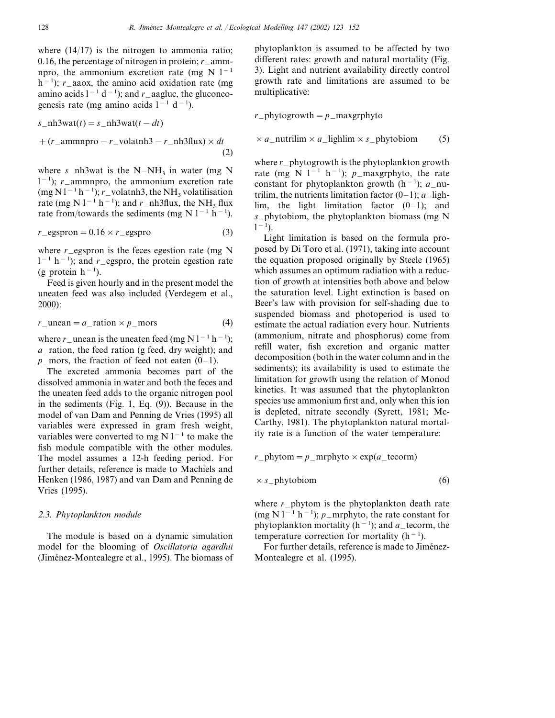where  $(14/17)$  is the nitrogen to ammonia ratio; 0.16, the percentage of nitrogen in protein; *r*–ammnpro, the ammonium excretion rate (mg N  $l^{-1}$ ) h−<sup>1</sup> ); *r*–aaox, the amino acid oxidation rate (mg amino acids  $l^{-1} d^{-1}$ ); and *r*<sub>-</sub>aagluc, the gluconeogenesis rate (mg amino acids  $l^{-1} d^{-1}$ ).

$$
s_{n}nh3wat(t) = s_{n}nh3wat(t - dt)
$$

$$
+ (r_{n}ammppo - r_{v}olathh3 - r_{n}h3flux) \times dt
$$
 (2)

where  $s_{\text{m}}$ nh3wat is the N–NH<sub>3</sub> in water (mg N  $1^{-1}$ ); *r*<sub>-</sub>ammnpro, the ammonium excretion rate (mg N l−<sup>1</sup> h−<sup>1</sup> );*r*–volatnh3, the NH3 volatilisation rate (mg N l<sup>-1</sup> h<sup>-1</sup>); and *r*\_nh3flux, the NH<sub>3</sub> flux rate from/towards the sediments (mg N  $l^{-1}$  h<sup>-1</sup>).

$$
r_{\text{e}} \text{gspron} = 0.16 \times r_{\text{e}} \text{gspro}
$$
 (3)

where  $r_{\text{e}}$  egspron is the feces egestion rate (mg N  $1^{-1}$  h<sup>-1</sup>); and *r*<sub>-</sub>egspro, the protein egestion rate (g protein  $h^{-1}$ ).

Feed is given hourly and in the present model the uneaten feed was also included (Verdegem et al., 2000):

$$
r\_unean = a\_ration \times p\_mors \tag{4}
$$

where *r*\_unean is the uneaten feed (mg N  $l^{-1}$  h<sup>-1</sup>); *a*–ration, the feed ration (g feed, dry weight); and  $p$ –mors, the fraction of feed not eaten  $(0-1)$ .

The excreted ammonia becomes part of the dissolved ammonia in water and both the feces and the uneaten feed adds to the organic nitrogen pool in the sediments (Fig. 1, Eq. (9)). Because in the model of van Dam and Penning de Vries (1995) all variables were expressed in gram fresh weight, variables were converted to mg N  $1^{-1}$  to make the fish module compatible with the other modules. The model assumes a 12-h feeding period. For further details, reference is made to Machiels and Henken (1986, 1987) and van Dam and Penning de Vries (1995).

#### <sup>2</sup>.3. *Phytoplankton module*

The module is based on a dynamic simulation model for the blooming of *Oscillatoria agardhii* (Jiménez-Montealegre et al., 1995). The biomass of phytoplankton is assumed to be affected by two different rates: growth and natural mortality (Fig. 3). Light and nutrient availability directly control growth rate and limitations are assumed to be multiplicative:

$$
r_{\text{p}}\text{hydrogrowth} = p_{\text{p}}\text{maxg} \text{rphyto}
$$

 $\times a$ <sub>–</sub>nutrilim  $\times a$ <sub>–</sub>lighlim  $\times s$ <sub>–</sub>phytobiom (5)

where *r*–phytogrowth is the phytoplankton growth rate (mg N l−<sup>1</sup> h−<sup>1</sup> ); *p*–maxgrphyto, the rate constant for phytoplankton growth (h−<sup>1</sup> ); *a*–nutrilim, the nutrients limitation factor  $(0-1)$ ; *a*\_lighlim, the light limitation factor  $(0-1)$ ; and *s*–phytobiom, the phytoplankton biomass (mg N  $1^{-1}$ ).

Light limitation is based on the formula proposed by Di Toro et al. (1971), taking into account the equation proposed originally by Steele (1965) which assumes an optimum radiation with a reduction of growth at intensities both above and below the saturation level. Light extinction is based on Beer's law with provision for self-shading due to suspended biomass and photoperiod is used to estimate the actual radiation every hour. Nutrients (ammonium, nitrate and phosphorus) come from refill water, fish excretion and organic matter decomposition (both in the water column and in the sediments); its availability is used to estimate the limitation for growth using the relation of Monod kinetics. It was assumed that the phytoplankton species use ammonium first and, only when this ion is depleted, nitrate secondly (Syrett, 1981; Mc-Carthy, 1981). The phytoplankton natural mortality rate is a function of the water temperature:

$$
r\_\text{phytom} = p\_\text{mrphyto} \times \exp(a\_\text{tecorn})
$$

$$
\times s\_{\text{phytobiom}} \tag{6}
$$

where  $r$ <sub>–</sub>phytom is the phytoplankton death rate (mg N l−<sup>1</sup> h−<sup>1</sup> ); *p*–mrphyto, the rate constant for phytoplankton mortality (h−<sup>1</sup> ); and *a*–tecorm, the temperature correction for mortality  $(h^{-1})$ .

For further details, reference is made to Jiménez-Montealegre et al. (1995).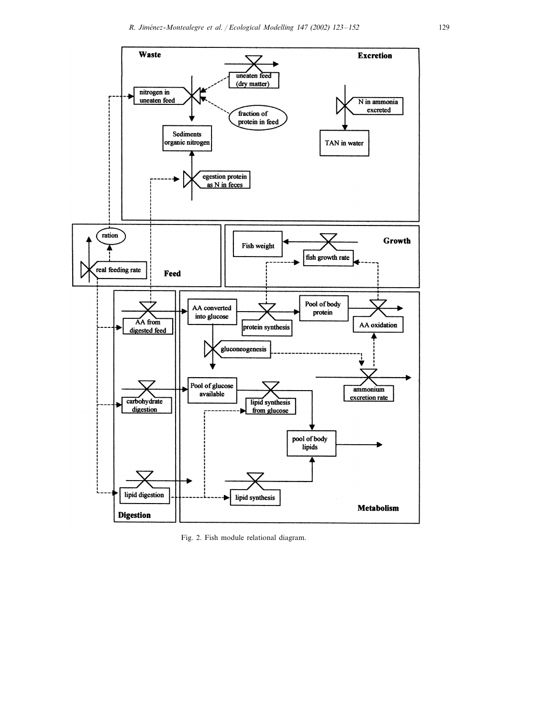

Fig. 2. Fish module relational diagram.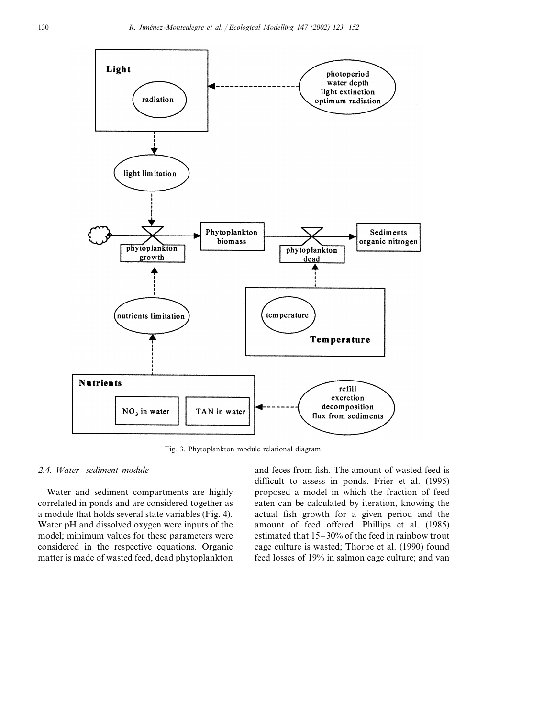

Fig. 3. Phytoplankton module relational diagram.

# <sup>2</sup>.4. *Water*–*sediment module*

Water and sediment compartments are highly correlated in ponds and are considered together as a module that holds several state variables (Fig. 4). Water pH and dissolved oxygen were inputs of the model; minimum values for these parameters were considered in the respective equations. Organic matter is made of wasted feed, dead phytoplankton and feces from fish. The amount of wasted feed is difficult to assess in ponds. Frier et al. (1995) proposed a model in which the fraction of feed eaten can be calculated by iteration, knowing the actual fish growth for a given period and the amount of feed offered. Phillips et al. (1985) estimated that 15–30% of the feed in rainbow trout cage culture is wasted; Thorpe et al. (1990) found feed losses of 19% in salmon cage culture; and van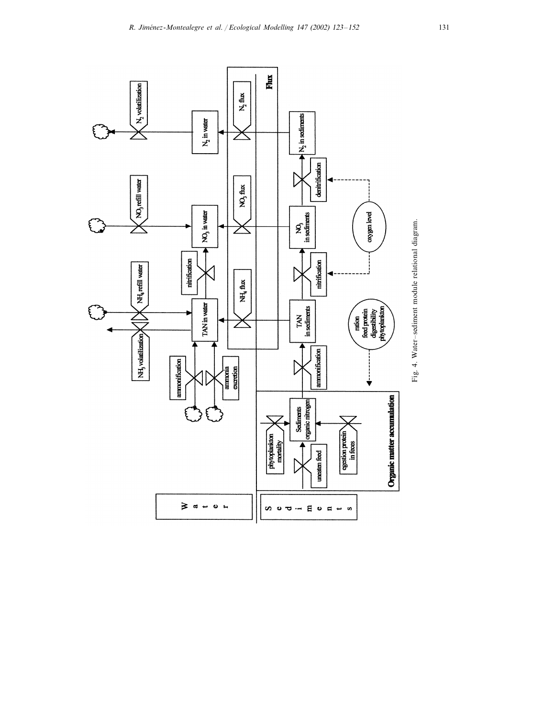

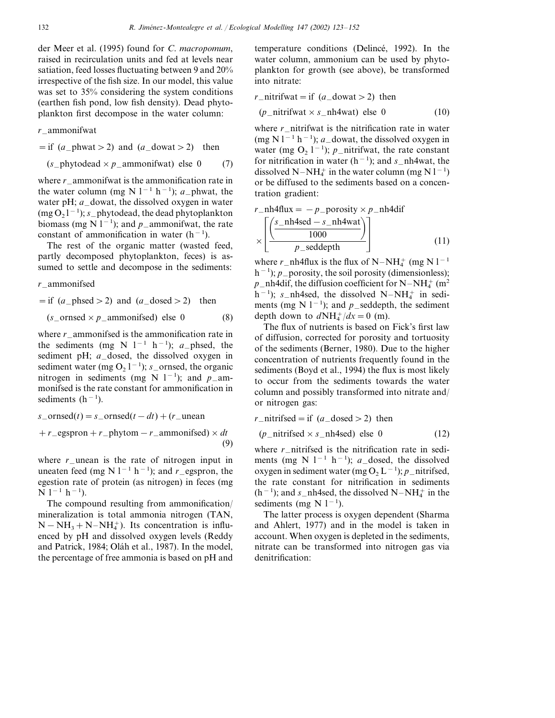der Meer et al. (1995) found for *C*. *macropomum*, raised in recirculation units and fed at levels near satiation, feed losses fluctuating between 9 and 20% irrespective of the fish size. In our model, this value was set to 35% considering the system conditions (earthen fish pond, low fish density). Dead phytoplankton first decompose in the water column:

#### *r*–ammonifwat

= if 
$$
(a\_\text{phwat} > 2)
$$
 and  $(a\_\text{dowat} > 2)$  then  
\n $(s\_\text{phytodead} \times p\_\text{ammonifwat})$  else 0 (7)

where *r*–ammonifwat is the ammonification rate in the water column (mg N l−<sup>1</sup> h−<sup>1</sup> ); *a*–phwat, the water pH; *a*–dowat, the dissolved oxygen in water (mg O2 l −1 );*s*–phytodead, the dead phytoplankton biomass (mg N  $1^{-1}$ ); and *p*<sub>–</sub>ammonifwat, the rate constant of ammonification in water  $(h^{-1})$ .

The rest of the organic matter (wasted feed, partly decomposed phytoplankton, feces) is assumed to settle and decompose in the sediments:

$$
r_{\text{=}}\text{ammonifsed}
$$

= if 
$$
(a_\text{p} \text{hsed} > 2)
$$
 and  $(a_\text{d} \text{osed} > 2)$  then  
 $(s_\text{p} \text{ensed} \times p_\text{p} \text{ammonifsed})$  else 0 (8)

where *r*–ammonifsed is the ammonification rate in the sediments (mg N <sup>1-1</sup> h<sup>-1</sup>); *a*\_phsed, the sediment pH; *a*–dosed, the dissolved oxygen in sediment water (mg  $O_2 1^{-1}$ ); *s*\_ornsed, the organic nitrogen in sediments (mg N  $1^{-1}$ ); and *p*<sub>–</sub>ammonifsed is the rate constant for ammonification in sediments  $(h^{-1})$ .

$$
s\_ornsed(t) = s\_ornsed(t - dt) + (r\_unean
$$
  
+ 
$$
r\_egspron + r\_phytom - r\_ammonifsed) \times dt
$$
 (9)

where  $r$  unean is the rate of nitrogen input in uneaten feed (mg N l<sup>−</sup><sup>1</sup> h<sup>−</sup><sup>1</sup> ); and *r*–egspron, the egestion rate of protein (as nitrogen) in feces (mg  $N l^{-1} h^{-1}$ ).

The compound resulting from ammonification/ mineralization is total ammonia nitrogen (TAN,  $N - NH_3 + N-NH_4^+$ ). Its concentration is influenced by pH and dissolved oxygen levels (Reddy and Patrick, 1984; Oláh et al., 1987). In the model, the percentage of free ammonia is based on pH and temperature conditions (Delincé, 1992). In the water column, ammonium can be used by phytoplankton for growth (see above), be transformed into nitrate:

$$
r_{\text{in}} = \text{if } (a_{\text{in}}) \ge 2 \text{ then}
$$
\n
$$
(p_{\text{in}}) = \text{if } (a_{\text{in}}) \ge 0 \qquad (10)
$$

where *r*–nitrifwat is the nitrification rate in water (mg N l−<sup>1</sup> h−<sup>1</sup> ); *a*–dowat, the dissolved oxygen in water (mg  $O_2$  l<sup>-1</sup>); *p*<sub>-</sub>nitrifwat, the rate constant for nitrification in water (h−<sup>1</sup> ); and *s*–nh4wat, the dissolved N–NH<sub>4</sub><sup>+</sup> in the water column (mg N l<sup>-1</sup>) or be diffused to the sediments based on a concentration gradient:

$$
r_{\text{in}} + \text{in4flux} = -p_{\text{proosity}} \times p_{\text{in}} + \text{in4dir}
$$
\n
$$
\times \left[ \frac{\left( \frac{s_{\text{in}} + \text{in4sed}}{1000} \right)}{p_{\text{seddepth}}} \right]
$$
\n(11)

where  $r_{\perp}$ nh4flux is the flux of N–NH<sub>4</sub><sup>+</sup> (mg N l<sup>-1</sup>) h<sup>−</sup><sup>1</sup> ); *p*–porosity, the soil porosity (dimensionless);  $p_{\text{m}}$ handalif, the diffusion coefficient for N–NH<sub>4</sub><sup>+</sup> (m<sup>2</sup>) h<sup>-1</sup>); *s*\_nh4sed, the dissolved N-NH<sup>+</sup> in sediments (mg N l<sup>−</sup><sup>1</sup> ); and *p*–seddepth, the sediment depth down to  $dNH_4^+/dx = 0$  (m).

The flux of nutrients is based on Fick's first law of diffusion, corrected for porosity and tortuosity of the sediments (Berner, 1980). Due to the higher concentration of nutrients frequently found in the sediments (Boyd et al., 1994) the flux is most likely to occur from the sediments towards the water column and possibly transformed into nitrate and/ or nitrogen gas:

$$
r_{\text{in}}\text{intra} = \text{if } (a_{\text{1}}\text{dosed} > 2) \text{ then}
$$
\n
$$
(p_{\text{in}}\text{intra} \times s_{\text{1}}\text{n+1} \text{dised}) \text{ else } 0 \tag{12}
$$

where  $r_$ nitrifsed is the nitrification rate in sediments (mg N l<sup>−</sup><sup>1</sup> h<sup>−</sup><sup>1</sup> ); *a*–dosed, the dissolved oxygen in sediment water (mg O2 L<sup>−</sup><sup>1</sup> ); *p*–nitrifsed, the rate constant for nitrification in sediments (h<sup>-1</sup>); and *s*\_nh4sed, the dissolved N-NH<sub>4</sub><sup>+</sup> in the sediments (mg N  $1^{-1}$ ).

The latter process is oxygen dependent (Sharma and Ahlert, 1977) and in the model is taken in account. When oxygen is depleted in the sediments, nitrate can be transformed into nitrogen gas via denitrification: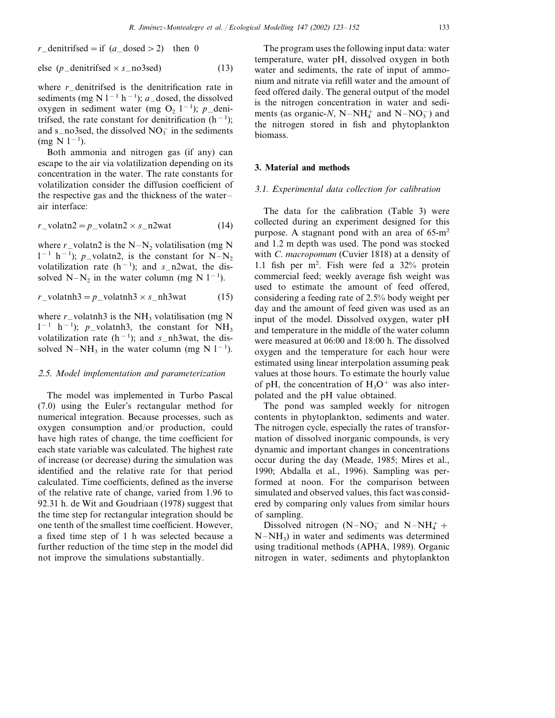*r*<sub>–</sub>denitrifsed = if  $(a$ <sub>–</sub>dosed > 2) then 0

$$
else (p\_denitrifsed \times s\_no3sed) \qquad (13)
$$

where  $r_{\perp}$  denitrified is the denitrification rate in sediments (mg N l<sup>-1</sup> h<sup>-1</sup>); *a*<sub>-</sub>dosed, the dissolved oxygen in sediment water (mg  $O_2$  1<sup>-1</sup>); *p*<sub>-</sub>denitrifsed, the rate constant for denitrification  $(h^{-1})$ ; and s\_no3sed, the dissolved  $NO_3^-$  in the sediments  $(mg N 1^{-1}).$ 

Both ammonia and nitrogen gas (if any) can escape to the air via volatilization depending on its concentration in the water. The rate constants for volatilization consider the diffusion coefficient of the respective gas and the thickness of the water– air interface:

$$
r_{\text{1}} \text{vol} = p_{\text{2}} \text{vol} = 2 \times s_{\text{1}} \text{val} \tag{14}
$$

where  $r_{\perp}$ volatn2 is the N–N<sub>2</sub> volatilisation (mg N  $1^{-1}$  h<sup>-1</sup>); *p*\_volatn2, is the constant for N-N<sub>2</sub> volatilization rate (h<sup>−</sup><sup>1</sup> ); and *s*–n2wat, the dissolved N– $N_2$  in the water column (mg N 1<sup>-1</sup>).

$$
r_{\text{1}} \text{vol} \cdot \text{sinh} \cdot 3 = p_{\text{1}} \text{vol} \cdot \text{sinh} \cdot 3 \times s_{\text{1}} \cdot \text{sinh} \cdot 3 \text{wal} \tag{15}
$$

where  $r_{\perp}$ volatnh<sup>3</sup> is the NH<sub>3</sub> volatilisation (mg N  $1^{-1}$  h<sup>-1</sup>); *p*\_volatnh3, the constant for NH<sub>3</sub> volatilization rate (h<sup>−</sup><sup>1</sup> ); and *s*–nh3wat, the dissolved N–NH<sub>3</sub> in the water column (mg N  $1^{-1}$ ).

#### <sup>2</sup>.5. *Model implementation and parameterization*

The model was implemented in Turbo Pascal (7.0) using the Euler's rectangular method for numerical integration. Because processes, such as oxygen consumption and/or production, could have high rates of change, the time coefficient for each state variable was calculated. The highest rate of increase (or decrease) during the simulation was identified and the relative rate for that period calculated. Time coefficients, defined as the inverse of the relative rate of change, varied from 1.96 to 92.31 h. de Wit and Goudriaan (1978) suggest that the time step for rectangular integration should be one tenth of the smallest time coefficient. However, a fixed time step of 1 h was selected because a further reduction of the time step in the model did not improve the simulations substantially.

The program uses the following input data: water temperature, water pH, dissolved oxygen in both water and sediments, the rate of input of ammonium and nitrate via refill water and the amount of feed offered daily. The general output of the model is the nitrogen concentration in water and sediments (as organic-*N*,  $N-NH_4^+$  and  $N-NO_3^-$ ) and the nitrogen stored in fish and phytoplankton biomass.

#### **3. Material and methods**

#### 3.1. *Experimental data collection for calibration*

The data for the calibration (Table 3) were collected during an experiment designed for this purpose. A stagnant pond with an area of 65-m2 and 1.2 m depth was used. The pond was stocked with *C*. *macropomum* (Cuvier 1818) at a density of 1.1 fish per m2 . Fish were fed a 32% protein commercial feed; weekly average fish weight was used to estimate the amount of feed offered, considering a feeding rate of 2.5% body weight per day and the amount of feed given was used as an input of the model. Dissolved oxygen, water pH and temperature in the middle of the water column were measured at 06:00 and 18:00 h. The dissolved oxygen and the temperature for each hour were estimated using linear interpolation assuming peak values at those hours. To estimate the hourly value of pH, the concentration of  $H_3O^+$  was also interpolated and the pH value obtained.

The pond was sampled weekly for nitrogen contents in phytoplankton, sediments and water. The nitrogen cycle, especially the rates of transformation of dissolved inorganic compounds, is very dynamic and important changes in concentrations occur during the day (Meade, 1985; Mires et al., 1990; Abdalla et al., 1996). Sampling was performed at noon. For the comparison between simulated and observed values, this fact was considered by comparing only values from similar hours of sampling.

Dissolved nitrogen  $(N-NO_3^-$  and  $N-NH_4^+$  +  $N-NH_3$ ) in water and sediments was determined using traditional methods (APHA, 1989). Organic nitrogen in water, sediments and phytoplankton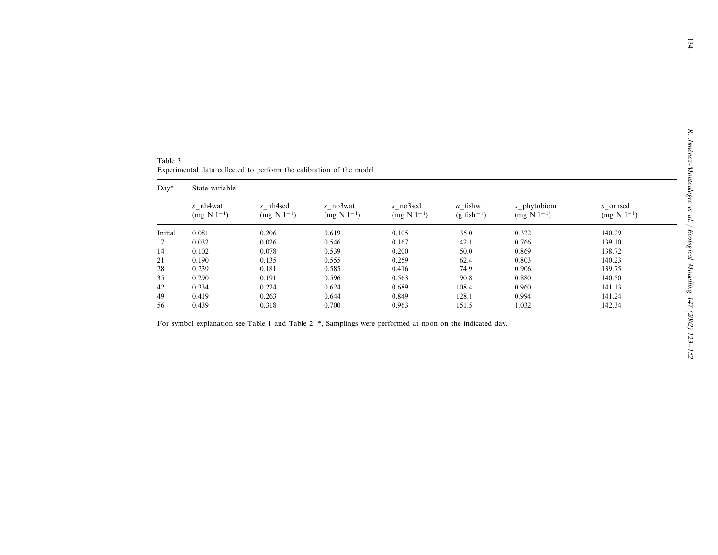| Table 3         |                 |                                                                     |                 |                 |                           |                           |                  |
|-----------------|-----------------|---------------------------------------------------------------------|-----------------|-----------------|---------------------------|---------------------------|------------------|
|                 |                 | Experimental data collected to perform the calibration of the model |                 |                 |                           |                           |                  |
|                 |                 |                                                                     |                 |                 |                           |                           |                  |
| Day*            | State variable  |                                                                     |                 |                 |                           |                           |                  |
|                 |                 |                                                                     |                 |                 |                           |                           |                  |
|                 |                 |                                                                     |                 |                 |                           |                           |                  |
|                 | $s_$ nh4wat     | s_nh4sed                                                            | $s$ _no3wat     | $s$ _no3sed     | $a$ _fishw                | $s$ <sub>-phytobiom</sub> | s ornsed         |
|                 | $(mg N 1^{-1})$ | $(mg N l^{-1})$                                                     | $(mg N 1^{-1})$ | $(mg N 1^{-1})$ | $(g$ fish <sup>-1</sup> ) | $(mg N l^{-1})$           | $(mg N l^{-1})$  |
|                 | 0.081           | 0.206                                                               | 0.619           | 0.105           | 35.0                      | 0.322                     | 140.29           |
| $7\phantom{.0}$ | 0.032           | 0.026                                                               | 0.546           | 0.167           | 42.1                      | 0.766                     | 139.10           |
| Initial<br>14   | 0.102           | 0.078                                                               | 0.539           | 0.200           | 50.0                      | 0.869                     | 138.72           |
| 21              | 0.190           | 0.135                                                               | 0.555           | 0.259           | 62.4                      | 0.803                     | 140.23           |
|                 | 0.239           | 0.181                                                               | 0.585           | 0.416           | 74.9                      | 0.906                     | 139.75           |
|                 | 0.290           | 0.191                                                               | 0.596           | 0.563           | 90.8                      | 0.880                     | 140.50           |
| 28<br>35<br>42  | 0.334           |                                                                     | 0.624           |                 |                           |                           |                  |
| 49              | 0.419           | 0.224<br>0.263                                                      | 0.644           | 0.689<br>0.849  | 108.4<br>128.1            | 0.960<br>0.994            | 141.13<br>141.24 |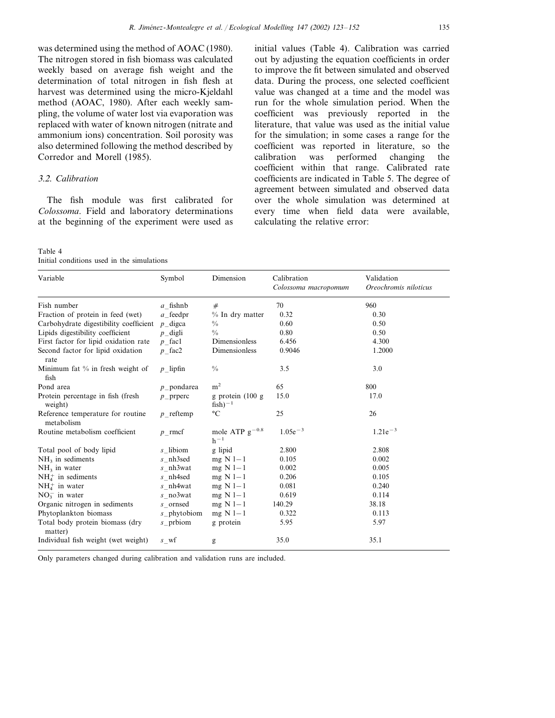was determined using the method of AOAC (1980). The nitrogen stored in fish biomass was calculated weekly based on average fish weight and the determination of total nitrogen in fish flesh at harvest was determined using the micro-Kjeldahl method (AOAC, 1980). After each weekly sampling, the volume of water lost via evaporation was replaced with water of known nitrogen (nitrate and ammonium ions) concentration. Soil porosity was also determined following the method described by Corredor and Morell (1985).

### 3.2. *Calibration*

The fish module was first calibrated for *Colossoma*. Field and laboratory determinations at the beginning of the experiment were used as

Table 4 Initial conditions used in the simulations

initial values (Table 4). Calibration was carried out by adjusting the equation coefficients in order to improve the fit between simulated and observed data. During the process, one selected coefficient value was changed at a time and the model was run for the whole simulation period. When the coefficient was previously reported in the literature, that value was used as the initial value for the simulation; in some cases a range for the coefficient was reported in literature, so the calibration was performed changing the coefficient within that range. Calibrated rate coefficients are indicated in Table 5. The degree of agreement between simulated and observed data over the whole simulation was determined at every time when field data were available, calculating the relative error:

| Variable                                        | Symbol       | Dimension                           | Calibration<br>Colossoma macropomum | Validation<br>Oreochromis niloticus |
|-------------------------------------------------|--------------|-------------------------------------|-------------------------------------|-------------------------------------|
| Fish number                                     | a fishnb     | #                                   | 70                                  | 960                                 |
| Fraction of protein in feed (wet)               | a feedpr     | $%$ In dry matter                   | 0.32                                | 0.30                                |
| Carbohydrate digestibility coefficient          | $p$ digca    | $\frac{0}{0}$                       | 0.60                                | 0.50                                |
| Lipids digestibility coefficient                | $p$ digli    | $\frac{0}{0}$                       | 0.80                                | 0.50                                |
| First factor for lipid oxidation rate           | $p$ fac1     | Dimensionless                       | 6.456                               | 4.300                               |
| Second factor for lipid oxidation<br>rate       | $p$ fac2     | Dimensionless                       | 0.9046                              | 1.2000                              |
| Minimum fat % in fresh weight of<br>fish        | $p$ lipfin   | $\frac{0}{0}$                       | 3.5                                 | 3.0                                 |
| Pond area                                       | $p$ pondarea | m <sup>2</sup>                      | 65                                  | 800                                 |
| Protein percentage in fish (fresh<br>weight)    | $p$ prperc   | g protein $(100 g)$<br>$fish)^{-1}$ | 15.0                                | 17.0                                |
| Reference temperature for routine<br>metabolism | $p$ reftemp  | $\rm ^{\circ}C$                     | 25                                  | 26                                  |
| Routine metabolism coefficient                  | $p$ rmcf     | mole ATP $g^{-0.8}$<br>$h^{-1}$     | $1.05e^{-3}$                        | $1.21e^{-3}$                        |
| Total pool of body lipid                        | s libiom     | g lipid                             | 2.800                               | 2.808                               |
| $NH3$ in sediments                              | s nh3sed     | $mg N l-1$                          | 0.105                               | 0.002                               |
| $NH3$ in water                                  | $s$ nh 3wat  | $mg N l-1$                          | 0.002                               | 0.005                               |
| $NH4+$ in sediments                             | s nh4sed     | $mg N l-1$                          | 0.206                               | 0.105                               |
| $NH_4^+$ in water                               | s nh4wat     | $mg N l-1$                          | 0.081                               | 0.240                               |
| $NO_3^-$ in water                               | $s$ no 3wat  | $mg N l-1$                          | 0.619                               | 0.114                               |
| Organic nitrogen in sediments                   | s ornsed     | $mg N l-1$                          | 140.29                              | 38.18                               |
| Phytoplankton biomass                           | s phytobiom  | $mg N l-1$                          | 0.322                               | 0.113                               |
| Total body protein biomass (dry<br>matter)      | s prbiom     | g protein                           | 5.95                                | 5.97                                |
| Individual fish weight (wet weight)             | $s$ wf       | g                                   | 35.0                                | 35.1                                |

Only parameters changed during calibration and validation runs are included.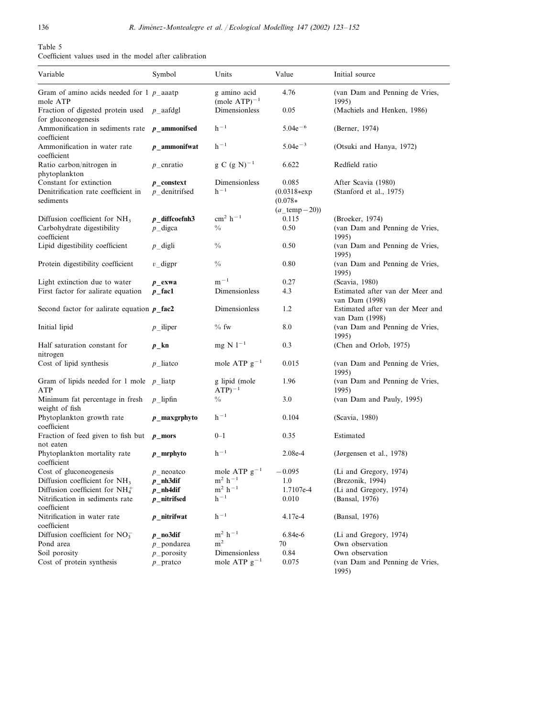| Table 5                                                |  |  |  |  |
|--------------------------------------------------------|--|--|--|--|
| Coefficient values used in the model after calibration |  |  |  |  |

| Variable                                                               | Symbol                    | Units                                       | Value                    | Initial source                                     |
|------------------------------------------------------------------------|---------------------------|---------------------------------------------|--------------------------|----------------------------------------------------|
| Gram of amino acids needed for 1 $p$ aaatp<br>mole ATP                 |                           | g amino acid<br>(mole $ATP$ ) <sup>-1</sup> | 4.76                     | (van Dam and Penning de Vries,<br>1995)            |
| Fraction of digested protein used $p$ aafdgl<br>for gluconeogenesis    |                           | Dimensionless                               | 0.05                     | (Machiels and Henken, 1986)                        |
| Ammonification in sediments rate $p_$ <b>ammonified</b><br>coefficient |                           | $h^{-1}$                                    | $5.04e^{-6}$             | (Berner, 1974)                                     |
| Ammonification in water rate<br>coefficient                            | $p$ _ammonifwat           | $h^{-1}$                                    | $5.04e^{-3}$             | (Otsuki and Hanya, 1972)                           |
| Ratio carbon/nitrogen in<br>phytoplankton                              | $p$ cnratio               | $g C (g N)^{-1}$                            | 6.622                    | Redfield ratio                                     |
| Constant for extinction                                                | $p$ _constext             | Dimensionless                               | 0.085                    | After Scavia (1980)                                |
| Denitrification rate coefficient in                                    | $p$ denitrifsed           | $h^{-1}$                                    | $(0.0318*exp$            | (Stanford et al., 1975)                            |
| sediments                                                              |                           |                                             | $(0.078*)$               |                                                    |
|                                                                        |                           |                                             | $(a_t \text{temp} - 20)$ |                                                    |
| Diffusion coefficient for $NH3$                                        | $p$ _diffcoefnh3          | $cm2 h-1$                                   | 0.115                    | (Broeker, 1974)                                    |
| Carbohydrate digestibility<br>coefficient                              | $p$ _digca                | $\frac{0}{0}$                               | 0.50                     | (van Dam and Penning de Vries,<br>1995)            |
| Lipid digestibility coefficient                                        | $p$ _digli                | $\frac{0}{0}$                               | 0.50                     | (van Dam and Penning de Vries,<br>1995)            |
| Protein digestibility coefficient                                      | $v$ _digpr                | $\frac{0}{0}$                               | 0.80                     | (van Dam and Penning de Vries,<br>1995)            |
| Light extinction due to water                                          | $p$ exwa                  | $m^{-1}$                                    | 0.27                     | (Scavia, 1980)                                     |
| First factor for aalirate equation                                     | $p$ _fac1                 | Dimensionless                               | 4.3                      | Estimated after van der Meer and<br>van Dam (1998) |
| Second factor for aalirate equation $p$ fac2                           |                           | Dimensionless                               | 1.2                      | Estimated after van der Meer and<br>van Dam (1998) |
| Initial lipid                                                          | $p$ _iliper               | $%$ fw                                      | 8.0                      | (van Dam and Penning de Vries,<br>1995)            |
| Half saturation constant for<br>nitrogen                               | $p_k$                     | mg N $1^{-1}$                               | 0.3                      | (Chen and Orlob, 1975)                             |
| Cost of lipid synthesis                                                | $p$ _liatco               | mole ATP $g^{-1}$                           | 0.015                    | (van Dam and Penning de Vries,<br>1995)            |
| Gram of lipids needed for 1 mole $p$ liatp<br>ATP                      |                           | g lipid (mole<br>$ATP$ ) <sup>-1</sup>      | 1.96                     | (van Dam and Penning de Vries,<br>1995)            |
| Minimum fat percentage in fresh<br>weight of fish                      | $p$ _lipfin               | $\frac{0}{0}$                               | 3.0                      | (van Dam and Pauly, 1995)                          |
| Phytoplankton growth rate<br>coefficient                               | $p$ _maxgrphyto           | $h^{-1}$                                    | 0.104                    | (Scavia, 1980)                                     |
| Fraction of feed given to fish but<br>not eaten                        | $p$ mors                  | $0 - 1$                                     | 0.35                     | Estimated                                          |
| Phytoplankton mortality rate<br>coefficient                            | $p$ _mrphyto              | $h^{-1}$                                    | 2.08e-4                  | (Jørgensen et al., 1978)                           |
| Cost of gluconeogenesis                                                | $p$ _neoatco              | mole ATP $g^{-1}$                           | $-0.095$                 | (Li and Gregory, 1974)                             |
| Diffusion coefficient for $NH3$                                        | $p_{\text{}}$ nh3dif      | $m^2 h^{-1}$                                | 1.0                      | (Brezonik, 1994)                                   |
| Diffusion coefficient for $NH4+$                                       | $p_{\text{}}$ nh4dif      | $m^2 h^{-1}$                                | 1.7107e-4                | (Li and Gregory, 1974)                             |
| Nitrification in sediments rate<br>coefficient                         | $p$ _nitrifsed            | $h^{-1}$                                    | 0.010                    | (Bansal, 1976)                                     |
| Nitrification in water rate<br>coefficient                             | $p$ _nitrifwat            | $h^{-1}$                                    | 4.17e-4                  | (Bansal, 1976)                                     |
| Diffusion coefficient for $NO_3^-$                                     | $p$ _no3dif               | $m^2$ h <sup>-1</sup>                       | 6.84e-6                  | (Li and Gregory, 1974)                             |
| Pond area                                                              | $p$ pondarea              | m <sup>2</sup>                              | 70                       | Own observation                                    |
| Soil porosity                                                          | $p$ <sub>-</sub> porosity | Dimensionless                               | 0.84                     | Own observation                                    |
| Cost of protein synthesis                                              | $p$ pratco                | mole ATP $g^{-1}$                           | 0.075                    | (van Dam and Penning de Vries,<br>1995)            |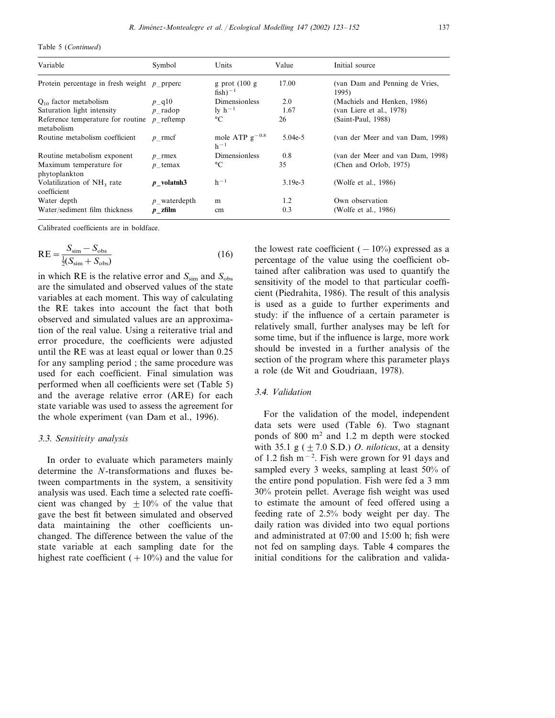Table 5 (*Continued*)

| Variable                                              | Symbol          | Units                            | Value     | Initial source                          |
|-------------------------------------------------------|-----------------|----------------------------------|-----------|-----------------------------------------|
| Protein percentage in fresh weight $p$ prperc         |                 | g prot $(100 g)$<br>$fish)^{-1}$ | 17.00     | (van Dam and Penning de Vries,<br>1995) |
| $Q_{10}$ factor metabolism                            | $p_{q10}$       | Dimensionless                    | 2.0       | (Machiels and Henken, 1986)             |
| Saturation light intensity                            | $p$ radop       | $\frac{1}{\nu}$ h <sup>-1</sup>  | 1.67      | (van Liere et al., $1978$ )             |
| Reference temperature for routine<br>metabolism       | $p$ reftemp     | $\rm ^{\circ}C$                  | 26        | (Saint-Paul, 1988)                      |
| Routine metabolism coefficient                        | $p$ rmcf        | mole ATP $g^{-0.8}$<br>$h^{-1}$  | $5.04e-5$ | (van der Meer and van Dam, 1998)        |
| Routine metabolism exponent                           | $p$ rmex        | Dimensionless                    | 0.8       | (van der Meer and van Dam, 1998)        |
| Maximum temperature for<br>phytoplankton              | $p$ temax       | $^{\circ}C$                      | 35        | (Chen and Orlob, 1975)                  |
| Volatilization of NH <sub>3</sub> rate<br>coefficient | $p$ volatnh $3$ | $h^{-1}$                         | $3.19e-3$ | (Wolfe et al., 1986)                    |
| Water depth                                           | $p$ _waterdepth | m                                | 1.2       | Own observation                         |
| Water/sediment film thickness                         | $p$ zfilm       | cm                               | 0.3       | (Wolfe et al., 1986)                    |

Calibrated coefficients are in boldface.

$$
RE = \frac{S_{sim} - S_{obs}}{\frac{1}{2}(S_{sim} + S_{obs})}
$$
(16)

in which RE is the relative error and  $S_{sim}$  and  $S_{obs}$ are the simulated and observed values of the state variables at each moment. This way of calculating the RE takes into account the fact that both observed and simulated values are an approximation of the real value. Using a reiterative trial and error procedure, the coefficients were adjusted until the RE was at least equal or lower than 0.25 for any sampling period ; the same procedure was used for each coefficient. Final simulation was performed when all coefficients were set (Table 5) and the average relative error (ARE) for each state variable was used to assess the agreement for the whole experiment (van Dam et al., 1996).

#### <sup>3</sup>.3. *Sensitiity analysis*

In order to evaluate which parameters mainly determine the *N*-transformations and fluxes between compartments in the system, a sensitivity analysis was used. Each time a selected rate coefficient was changed by  $\pm 10\%$  of the value that gave the best fit between simulated and observed data maintaining the other coefficients unchanged. The difference between the value of the state variable at each sampling date for the highest rate coefficient  $(+10\%)$  and the value for the lowest rate coefficient ( $-10\%$ ) expressed as a percentage of the value using the coefficient obtained after calibration was used to quantify the sensitivity of the model to that particular coefficient (Piedrahita, 1986). The result of this analysis is used as a guide to further experiments and study: if the influence of a certain parameter is relatively small, further analyses may be left for some time, but if the influence is large, more work should be invested in a further analysis of the section of the program where this parameter plays a role (de Wit and Goudriaan, 1978).

#### 3.4. *Validation*

For the validation of the model, independent data sets were used (Table 6). Two stagnant ponds of 800 m2 and 1.2 m depth were stocked with 35.1  $g$  ( $\pm$  7.0 S.D.) *O. niloticus*, at a density of 1.2 fish m<sup>−</sup><sup>2</sup> . Fish were grown for 91 days and sampled every 3 weeks, sampling at least 50% of the entire pond population. Fish were fed a 3 mm 30% protein pellet. Average fish weight was used to estimate the amount of feed offered using a feeding rate of 2.5% body weight per day. The daily ration was divided into two equal portions and administrated at 07:00 and 15:00 h; fish were not fed on sampling days. Table 4 compares the initial conditions for the calibration and valida-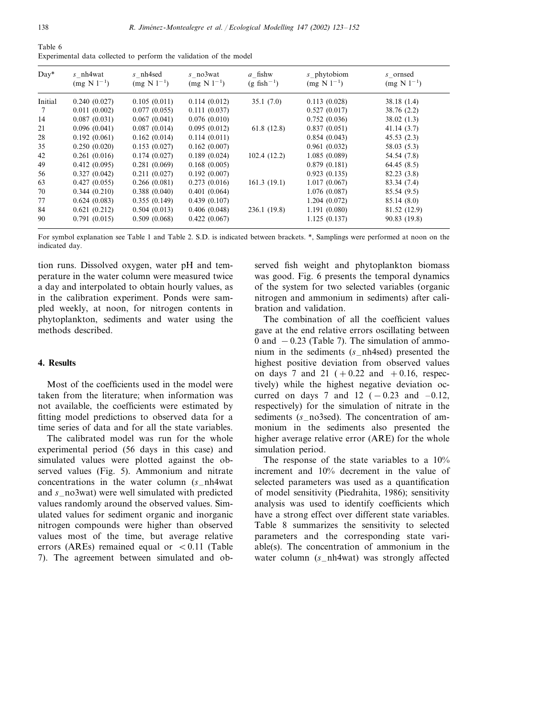| $Day*$  | s nh4wat<br>$(mg N l^{-1})$ | s nh4sed<br>$(mg N 1^{-1})$ | $s$ no 3 wat<br>$(mg N1^{-1})$ | a fishw<br>$(g$ fish <sup>-1</sup> ) | $s$ phytobiom<br>$(mg N 1^{-1})$ | s_ornsed<br>$(mg N 1^{-1})$ |
|---------|-----------------------------|-----------------------------|--------------------------------|--------------------------------------|----------------------------------|-----------------------------|
| Initial | 0.240(0.027)                | 0.105(0.011)                | 0.114(0.012)                   | 35.1(7.0)                            | 0.113(0.028)                     | 38.18 (1.4)                 |
| 7       | 0.011(0.002)                | 0.077(0.055)                | 0.111(0.037)                   |                                      | 0.527(0.017)                     | 38.76 (2.2)                 |
| 14      | 0.087(0.031)                | 0.067(0.041)                | 0.076(0.010)                   |                                      | 0.752(0.036)                     | 38.02(1.3)                  |
| 21      | 0.096(0.041)                | 0.087(0.014)                | 0.095(0.012)                   | 61.8(12.8)                           | 0.837(0.051)                     | 41.14(3.7)                  |
| 28      | 0.192(0.061)                | 0.162(0.014)                | 0.114(0.011)                   |                                      | 0.854(0.043)                     | 45.53(2.3)                  |
| 35      | 0.250(0.020)                | 0.153(0.027)                | 0.162(0.007)                   |                                      | 0.961(0.032)                     | 58.03 (5.3)                 |
| 42      | 0.261(0.016)                | 0.174(0.027)                | 0.189(0.024)                   | 102.4(12.2)                          | 1.085(0.089)                     | 54.54 (7.8)                 |
| 49      | 0.412(0.095)                | 0.281(0.069)                | 0.168(0.005)                   |                                      | 0.879(0.181)                     | 64.45(8.5)                  |
| 56      | 0.327(0.042)                | 0.211(0.027)                | 0.192(0.007)                   |                                      | 0.923(0.135)                     | 82.23 (3.8)                 |
| 63      | 0.427(0.055)                | 0.266(0.081)                | 0.273(0.016)                   | 161.3(19.1)                          | 1.017(0.067)                     | 83.34 (7.4)                 |
| 70      | 0.344(0.210)                | 0.388(0.040)                | 0.401(0.064)                   |                                      | 1.076(0.087)                     | 85.54 (9.5)                 |
| 77      | 0.624(0.083)                | 0.355(0.149)                | 0.439(0.107)                   |                                      | 1.204(0.072)                     | 85.14 (8.0)                 |
| 84      | 0.621(0.212)                | 0.504(0.013)                | 0.406(0.048)                   | 236.1(19.8)                          | 1.191(0.080)                     | 81.52 (12.9)                |
| 90      | 0.791(0.015)                | 0.509(0.068)                | 0.422(0.067)                   |                                      | 1.125(0.137)                     | 90.83 (19.8)                |

Experimental data collected to perform the validation of the model

For symbol explanation see Table 1 and Table 2. S.D. is indicated between brackets. \*, Samplings were performed at noon on the indicated day.

tion runs. Dissolved oxygen, water pH and temperature in the water column were measured twice a day and interpolated to obtain hourly values, as in the calibration experiment. Ponds were sampled weekly, at noon, for nitrogen contents in phytoplankton, sediments and water using the methods described.

# **4. Results**

Most of the coefficients used in the model were taken from the literature; when information was not available, the coefficients were estimated by fitting model predictions to observed data for a time series of data and for all the state variables.

The calibrated model was run for the whole experimental period (56 days in this case) and simulated values were plotted against the observed values (Fig. 5). Ammonium and nitrate concentrations in the water column (*s*–nh4wat and *s*–no3wat) were well simulated with predicted values randomly around the observed values. Simulated values for sediment organic and inorganic nitrogen compounds were higher than observed values most of the time, but average relative errors (AREs) remained equal or  $\lt 0.11$  (Table 7). The agreement between simulated and observed fish weight and phytoplankton biomass was good. Fig. 6 presents the temporal dynamics of the system for two selected variables (organic nitrogen and ammonium in sediments) after calibration and validation.

The combination of all the coefficient values gave at the end relative errors oscillating between 0 and −0.23 (Table 7). The simulation of ammonium in the sediments (s\_nh4sed) presented the highest positive deviation from observed values on days 7 and 21 ( $+0.22$  and  $+0.16$ , respectively) while the highest negative deviation occurred on days 7 and 12 ( $-0.23$  and  $-0.12$ , respectively) for the simulation of nitrate in the sediments ( $s$ <sub>-no</sub>3sed). The concentration of ammonium in the sediments also presented the higher average relative error (ARE) for the whole simulation period.

The response of the state variables to a 10% increment and 10% decrement in the value of selected parameters was used as a quantification of model sensitivity (Piedrahita, 1986); sensitivity analysis was used to identify coefficients which have a strong effect over different state variables. Table 8 summarizes the sensitivity to selected parameters and the corresponding state variable(s). The concentration of ammonium in the water column (s\_nh4wat) was strongly affected

Table 6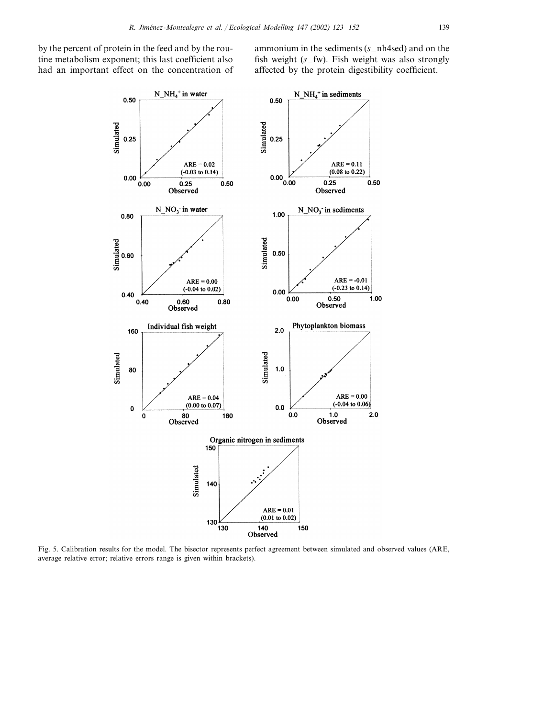by the percent of protein in the feed and by the routine metabolism exponent; this last coefficient also had an important effect on the concentration of ammonium in the sediments ( $s_$ nh4sed) and on the fish weight (*s*–fw). Fish weight was also strongly affected by the protein digestibility coefficient.



Fig. 5. Calibration results for the model. The bisector represents perfect agreement between simulated and observed values (ARE, average relative error; relative errors range is given within brackets).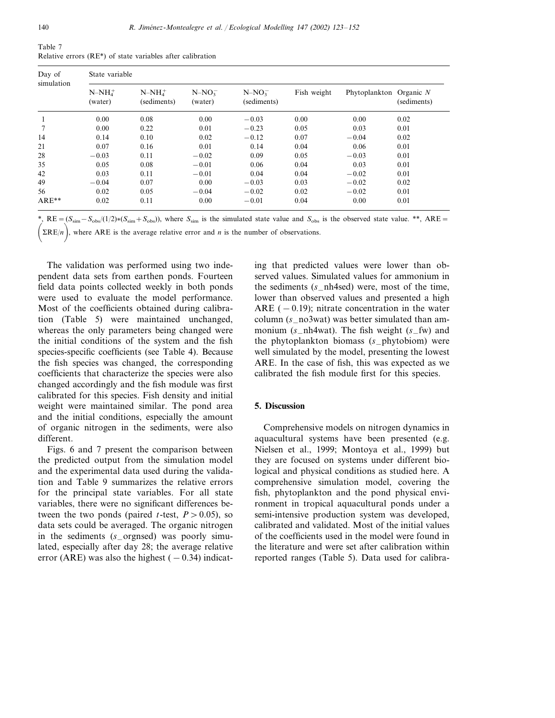| Day of     | State variable        |                           |                    |                        |             |                         |             |  |  |  |  |  |
|------------|-----------------------|---------------------------|--------------------|------------------------|-------------|-------------------------|-------------|--|--|--|--|--|
| simulation | $N-NH_4^+$<br>(water) | $N-NH_4^+$<br>(sediments) | $N-NO3$<br>(water) | $N-NO3$<br>(sediments) | Fish weight | Phytoplankton Organic N | (sediments) |  |  |  |  |  |
|            | 0.00                  | 0.08                      | 0.00               | $-0.03$                | 0.00        | 0.00                    | 0.02        |  |  |  |  |  |
| 7          | 0.00                  | 0.22                      | 0.01               | $-0.23$                | 0.05        | 0.03                    | 0.01        |  |  |  |  |  |
| 14         | 0.14                  | 0.10                      | 0.02               | $-0.12$                | 0.07        | $-0.04$                 | 0.02        |  |  |  |  |  |
| 21         | 0.07                  | 0.16                      | 0.01               | 0.14                   | 0.04        | 0.06                    | 0.01        |  |  |  |  |  |
| 28         | $-0.03$               | 0.11                      | $-0.02$            | 0.09                   | 0.05        | $-0.03$                 | 0.01        |  |  |  |  |  |
| 35         | 0.05                  | 0.08                      | $-0.01$            | 0.06                   | 0.04        | 0.03                    | 0.01        |  |  |  |  |  |
| 42         | 0.03                  | 0.11                      | $-0.01$            | 0.04                   | 0.04        | $-0.02$                 | 0.01        |  |  |  |  |  |
| 49         | $-0.04$               | 0.07                      | 0.00               | $-0.03$                | 0.03        | $-0.02$                 | 0.02        |  |  |  |  |  |
| 56         | 0.02                  | 0.05                      | $-0.04$            | $-0.02$                | 0.02        | $-0.02$                 | 0.01        |  |  |  |  |  |
| $ARE**$    | 0.02                  | 0.11                      | 0.00               | $-0.01$                | 0.04        | 0.00                    | 0.01        |  |  |  |  |  |

| raviv 1                                                    |  |  |  |
|------------------------------------------------------------|--|--|--|
| Relative errors (RE*) of state variables after calibration |  |  |  |

\*, RE=(*S*sim−*S*obs/(1/2)-(*S*sim+*S*obs)), where *S*sim is the simulated state value and *S*obs is the observed state value. \*\*, ARE=  $\begin{pmatrix} E \\ \Sigma RE/n \end{pmatrix}$ , where ARE is the average relative error and *n* is the number of observations.

The validation was performed using two independent data sets from earthen ponds. Fourteen field data points collected weekly in both ponds were used to evaluate the model performance. Most of the coefficients obtained during calibration (Table 5) were maintained unchanged, whereas the only parameters being changed were the initial conditions of the system and the fish species-specific coefficients (see Table 4). Because the fish species was changed, the corresponding coefficients that characterize the species were also changed accordingly and the fish module was first calibrated for this species. Fish density and initial weight were maintained similar. The pond area and the initial conditions, especially the amount of organic nitrogen in the sediments, were also different.

Figs. 6 and 7 present the comparison between the predicted output from the simulation model and the experimental data used during the validation and Table 9 summarizes the relative errors for the principal state variables. For all state variables, there were no significant differences between the two ponds (paired *t*-test,  $P > 0.05$ ), so data sets could be averaged. The organic nitrogen in the sediments (*s*–orgnsed) was poorly simulated, especially after day 28; the average relative error (ARE) was also the highest  $(-0.34)$  indicating that predicted values were lower than observed values. Simulated values for ammonium in the sediments (*s*–nh4sed) were, most of the time, lower than observed values and presented a high ARE  $(-0.19)$ ; nitrate concentration in the water column ( $s$ <sub>–</sub>no3wat) was better simulated than ammonium (*s*<sub>–</sub>nh4wat). The fish weight (*s*<sub>–</sub>fw) and the phytoplankton biomass (*s*–phytobiom) were well simulated by the model, presenting the lowest ARE. In the case of fish, this was expected as we calibrated the fish module first for this species.

#### **5. Discussion**

Comprehensive models on nitrogen dynamics in aquacultural systems have been presented (e.g. Nielsen et al., 1999; Montoya et al., 1999) but they are focused on systems under different biological and physical conditions as studied here. A comprehensive simulation model, covering the fish, phytoplankton and the pond physical environment in tropical aquacultural ponds under a semi-intensive production system was developed, calibrated and validated. Most of the initial values of the coefficients used in the model were found in the literature and were set after calibration within reported ranges (Table 5). Data used for calibra-

Table 7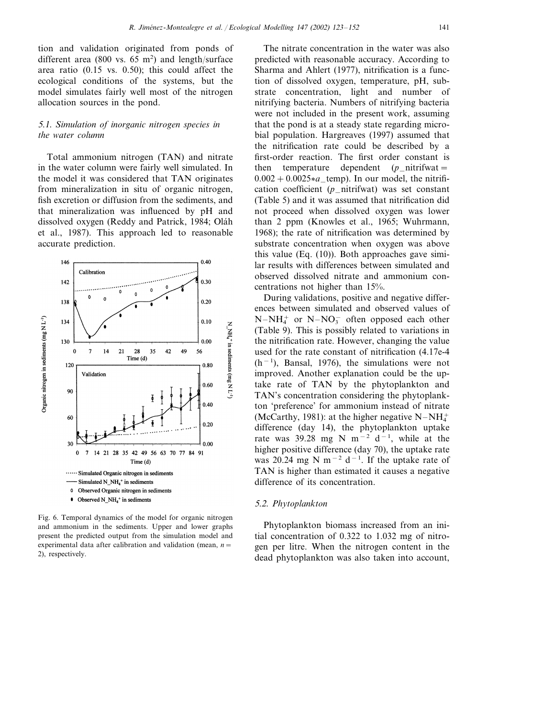tion and validation originated from ponds of different area (800 vs.  $65 \text{ m}^2$ ) and length/surface area ratio (0.15 vs. 0.50); this could affect the ecological conditions of the systems, but the model simulates fairly well most of the nitrogen allocation sources in the pond.

# <sup>5</sup>.1. *Simulation of inorganic nitrogen species in the water column*

Total ammonium nitrogen (TAN) and nitrate in the water column were fairly well simulated. In the model it was considered that TAN originates from mineralization in situ of organic nitrogen, fish excretion or diffusion from the sediments, and that mineralization was influenced by pH and dissolved oxygen (Reddy and Patrick, 1984; Oláh et al., 1987). This approach led to reasonable accurate prediction.



Fig. 6. Temporal dynamics of the model for organic nitrogen and ammonium in the sediments. Upper and lower graphs present the predicted output from the simulation model and experimental data after calibration and validation (mean, *n*= 2), respectively.

The nitrate concentration in the water was also predicted with reasonable accuracy. According to Sharma and Ahlert (1977), nitrification is a function of dissolved oxygen, temperature, pH, substrate concentration, light and number of nitrifying bacteria. Numbers of nitrifying bacteria were not included in the present work, assuming that the pond is at a steady state regarding microbial population. Hargreaves (1997) assumed that the nitrification rate could be described by a first-order reaction. The first order constant is then temperature dependent ( $p$ ) nitrifwat =  $0.002 + 0.0025*a$  temp). In our model, the nitrification coefficient (*p*–nitrifwat) was set constant (Table 5) and it was assumed that nitrification did not proceed when dissolved oxygen was lower than 2 ppm (Knowles et al., 1965; Wuhrmann, 1968); the rate of nitrification was determined by substrate concentration when oxygen was above this value (Eq. (10)). Both approaches gave similar results with differences between simulated and observed dissolved nitrate and ammonium concentrations not higher than 15%.

During validations, positive and negative differences between simulated and observed values of  $N-NH_4^+$  or  $N-NO_3^-$  often opposed each other (Table 9). This is possibly related to variations in the nitrification rate. However, changing the value used for the rate constant of nitrification (4.17e-4 (h<sup>−</sup><sup>1</sup> ), Bansal, 1976), the simulations were not improved. Another explanation could be the uptake rate of TAN by the phytoplankton and TAN's concentration considering the phytoplankton 'preference' for ammonium instead of nitrate (McCarthy, 1981): at the higher negative  $N-NH_4^+$ difference (day 14), the phytoplankton uptake rate was 39.28 mg N m<sup>-2</sup> d<sup>-1</sup>, while at the higher positive difference (day 70), the uptake rate was 20.24 mg N m<sup>-2</sup> d<sup>-1</sup>. If the uptake rate of TAN is higher than estimated it causes a negative difference of its concentration.

#### <sup>5</sup>.2. *Phytoplankton*

Phytoplankton biomass increased from an initial concentration of 0.322 to 1.032 mg of nitrogen per litre. When the nitrogen content in the dead phytoplankton was also taken into account,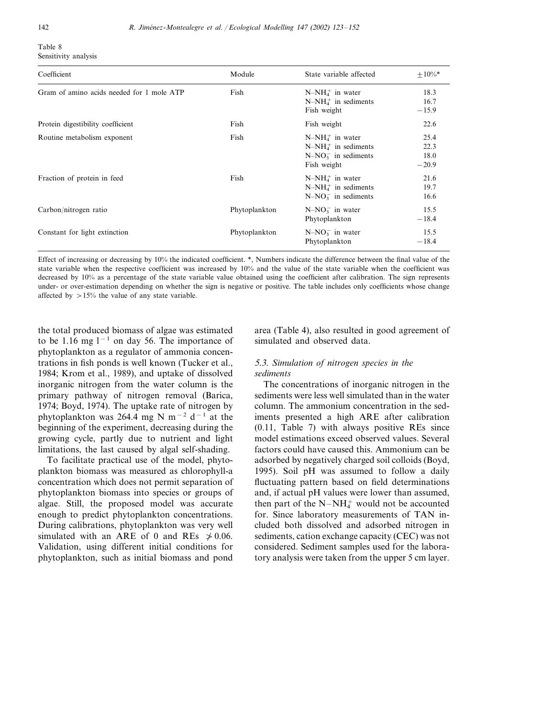$T_0$ **b**le  $\theta$ 

| rabie o              |  |
|----------------------|--|
| Sensitivity analysis |  |

| Coefficient                               | Module        | State variable affected                                                              | $+10\%$ *                       |
|-------------------------------------------|---------------|--------------------------------------------------------------------------------------|---------------------------------|
| Gram of amino acids needed for 1 mole ATP | Fish          | $N-NH4+$ in water<br>$N-NH4+$ in sediments<br>Fish weight                            | 18.3<br>16.7<br>$-15.9$         |
| Protein digestibility coefficient         | Fish          | Fish weight                                                                          | 22.6                            |
| Routine metabolism exponent               | Fish          | $N-NH4+$ in water<br>$N-NH4+$ in sediments<br>$N-NO_3^-$ in sediments<br>Fish weight | 25.4<br>22.3<br>18.0<br>$-20.9$ |
| Fraction of protein in feed               | Fish          | $N-NH4+$ in water<br>$N-NH4+$ in sediments<br>$N-NO_3^-$ in sediments                | 21.6<br>19.7<br>16.6            |
| Carbon/nitrogen ratio                     | Phytoplankton | $N-NO_3^-$ in water<br>Phytoplankton                                                 | 15.5<br>$-18.4$                 |
| Constant for light extinction             | Phytoplankton | $N-NO_3^-$ in water<br>Phytoplankton                                                 | 15.5<br>$-18.4$                 |

Effect of increasing or decreasing by 10% the indicated coefficient. \*, Numbers indicate the difference between the final value of the state variable when the respective coefficient was increased by 10% and the value of the state variable when the coefficient was decreased by 10% as a percentage of the state variable value obtained using the coefficient after calibration. The sign represents under- or over-estimation depending on whether the sign is negative or positive. The table includes only coefficients whose change affected by  $>15%$  the value of any state variable.

the total produced biomass of algae was estimated to be 1.16 mg  $l^{-1}$  on day 56. The importance of phytoplankton as a regulator of ammonia concentrations in fish ponds is well known (Tucker et al., 1984; Krom et al., 1989), and uptake of dissolved inorganic nitrogen from the water column is the primary pathway of nitrogen removal (Barica, 1974; Boyd, 1974). The uptake rate of nitrogen by phytoplankton was 264.4 mg N m<sup>-2</sup> d<sup>-1</sup> at the beginning of the experiment, decreasing during the growing cycle, partly due to nutrient and light limitations, the last caused by algal self-shading.

To facilitate practical use of the model, phytoplankton biomass was measured as chlorophyll-a concentration which does not permit separation of phytoplankton biomass into species or groups of algae. Still, the proposed model was accurate enough to predict phytoplankton concentrations. During calibrations, phytoplankton was very well simulated with an ARE of 0 and REs  $\geq 0.06$ . Validation, using different initial conditions for phytoplankton, such as initial biomass and pond

area (Table 4), also resulted in good agreement of simulated and observed data.

# <sup>5</sup>.3. *Simulation of nitrogen species in the sediments*

The concentrations of inorganic nitrogen in the sediments were less well simulated than in the water column. The ammonium concentration in the sediments presented a high ARE after calibration (0.11, Table 7) with always positive REs since model estimations exceed observed values. Several factors could have caused this. Ammonium can be adsorbed by negatively charged soil colloids (Boyd, 1995). Soil pH was assumed to follow a daily fluctuating pattern based on field determinations and, if actual pH values were lower than assumed, then part of the  $N-NH_4^+$  would not be accounted for. Since laboratory measurements of TAN included both dissolved and adsorbed nitrogen in sediments, cation exchange capacity (CEC) was not considered. Sediment samples used for the laboratory analysis were taken from the upper 5 cm layer.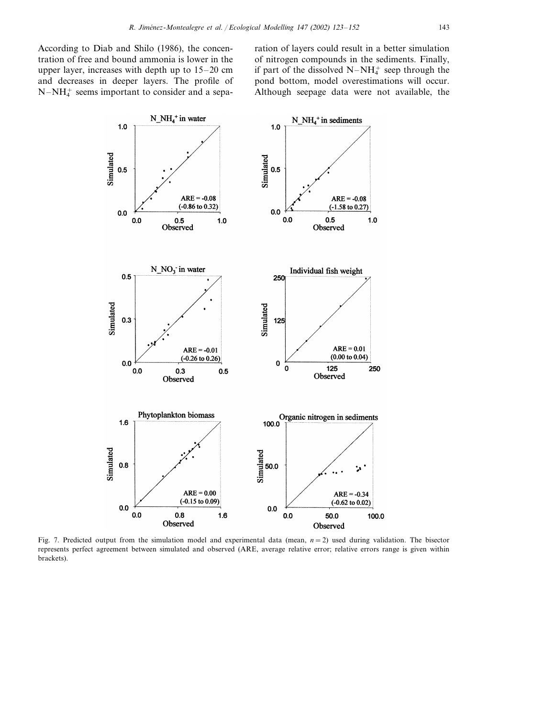According to Diab and Shilo (1986), the concentration of free and bound ammonia is lower in the upper layer, increases with depth up to 15–20 cm and decreases in deeper layers. The profile of N–NH4 <sup>+</sup> seems important to consider and a separation of layers could result in a better simulation of nitrogen compounds in the sediments. Finally, if part of the dissolved  $N-NH_4^+$  seep through the pond bottom, model overestimations will occur. Although seepage data were not available, the



Fig. 7. Predicted output from the simulation model and experimental data (mean, *n*=2) used during validation. The bisector represents perfect agreement between simulated and observed (ARE, average relative error; relative errors range is given within brackets).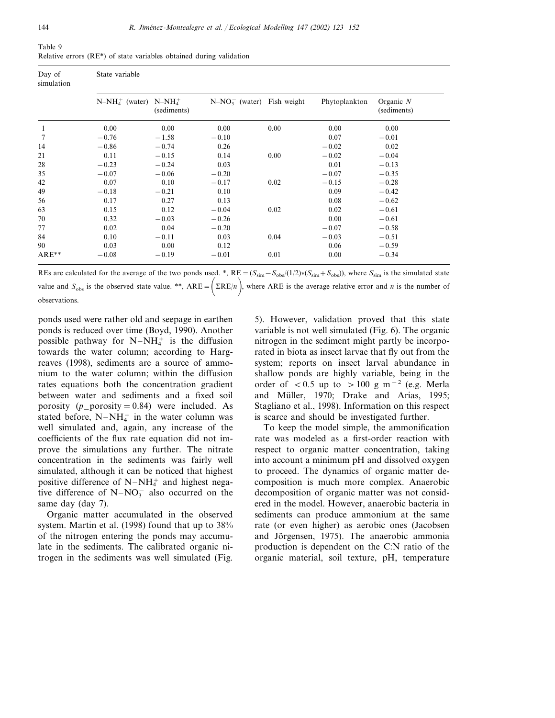simulation

Day of State variable

| Table 9 |  |  |  |                                                                        |
|---------|--|--|--|------------------------------------------------------------------------|
|         |  |  |  | Relative errors $(RE^*)$ of state variables obtained during validation |

|         | $N-NH4+$ (water) $N-NH4+$ | (sediments) | $N-NO_2^-$ (water) Fish weight |      | Phytoplankton | Organic $N$<br>(sediments) |
|---------|---------------------------|-------------|--------------------------------|------|---------------|----------------------------|
| 1       | 0.00                      | 0.00        | 0.00                           | 0.00 | 0.00          | 0.00                       |
| 7       | $-0.76$                   | $-1.58$     | $-0.10$                        |      | 0.07          | $-0.01$                    |
| 14      | $-0.86$                   | $-0.74$     | 0.26                           |      | $-0.02$       | 0.02                       |
| 21      | 0.11                      | $-0.15$     | 0.14                           | 0.00 | $-0.02$       | $-0.04$                    |
| 28      | $-0.23$                   | $-0.24$     | 0.03                           |      | 0.01          | $-0.13$                    |
| 35      | $-0.07$                   | $-0.06$     | $-0.20$                        |      | $-0.07$       | $-0.35$                    |
| 42      | 0.07                      | 0.10        | $-0.17$                        | 0.02 | $-0.15$       | $-0.28$                    |
| 49      | $-0.18$                   | $-0.21$     | 0.10                           |      | 0.09          | $-0.42$                    |
| 56      | 0.17                      | 0.27        | 0.13                           |      | 0.08          | $-0.62$                    |
| 63      | 0.15                      | 0.12        | $-0.04$                        | 0.02 | 0.02          | $-0.61$                    |
| 70      | 0.32                      | $-0.03$     | $-0.26$                        |      | 0.00          | $-0.61$                    |
| 77      | 0.02                      | 0.04        | $-0.20$                        |      | $-0.07$       | $-0.58$                    |
| 84      | 0.10                      | $-0.11$     | 0.03                           | 0.04 | $-0.03$       | $-0.51$                    |
| 90      | 0.03                      | 0.00        | 0.12                           |      | 0.06          | $-0.59$                    |
| $ARE**$ | $-0.08$                   | $-0.19$     | $-0.01$                        | 0.01 | 0.00          | $-0.34$                    |

REs are calculated for the average of the two ponds used. \*,  $RE = (S_{sim} - S_{obs}/(1/2)*(S_{sim} + S_{obs}))$ , where  $S_{sim}$  is the simulated state where and  $S_{obs}$  is the observed state value. \*\*,  $ARE = (ERE/n)$  , where ARE is the average relative error and *n* is the number of observations.

ponds used were rather old and seepage in earthen ponds is reduced over time (Boyd, 1990). Another possible pathway for  $N-NH_4^+$  is the diffusion towards the water column; according to Hargreaves (1998), sediments are a source of ammonium to the water column; within the diffusion rates equations both the concentration gradient between water and sediments and a fixed soil porosity  $(p_{\text{p}}\text{porosity}=0.84)$  were included. As stated before,  $N-NH_4^+$  in the water column was well simulated and, again, any increase of the coefficients of the flux rate equation did not improve the simulations any further. The nitrate concentration in the sediments was fairly well simulated, although it can be noticed that highest positive difference of  $N-NH_4^+$  and highest negative difference of  $N-NO_3^-$  also occurred on the same day (day 7).

Organic matter accumulated in the observed system. Martin et al. (1998) found that up to 38% of the nitrogen entering the ponds may accumulate in the sediments. The calibrated organic nitrogen in the sediments was well simulated (Fig.

5). However, validation proved that this state variable is not well simulated (Fig. 6). The organic nitrogen in the sediment might partly be incorporated in biota as insect larvae that fly out from the system; reports on insect larval abundance in shallow ponds are highly variable, being in the order of <0.5 up to >100 g m<sup>-2</sup> (e.g. Merla and Müller, 1970; Drake and Arias, 1995; Stagliano et al., 1998). Information on this respect is scarce and should be investigated further.

To keep the model simple, the ammonification rate was modeled as a first-order reaction with respect to organic matter concentration, taking into account a minimum pH and dissolved oxygen to proceed. The dynamics of organic matter decomposition is much more complex. Anaerobic decomposition of organic matter was not considered in the model. However, anaerobic bacteria in sediments can produce ammonium at the same rate (or even higher) as aerobic ones (Jacobsen and Jörgensen, 1975). The anaerobic ammonia production is dependent on the C:N ratio of the organic material, soil texture, pH, temperature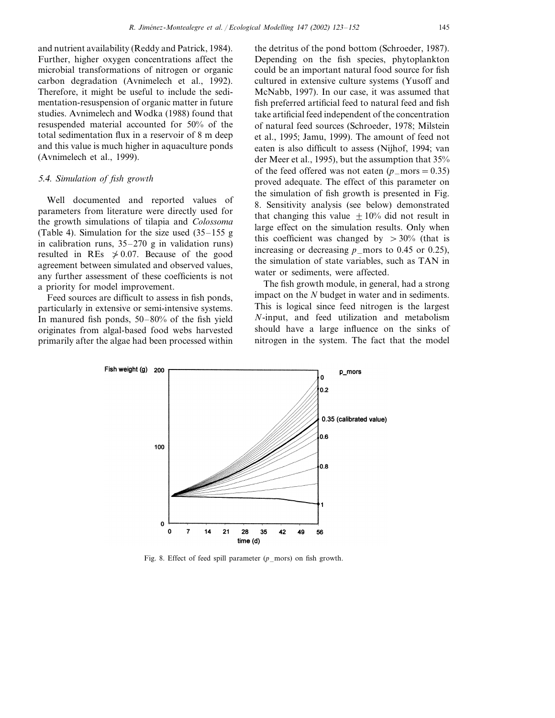and nutrient availability (Reddy and Patrick, 1984). Further, higher oxygen concentrations affect the microbial transformations of nitrogen or organic carbon degradation (Avnimelech et al., 1992). Therefore, it might be useful to include the sedimentation-resuspension of organic matter in future studies. Avnimelech and Wodka (1988) found that resuspended material accounted for 50% of the total sedimentation flux in a reservoir of 8 m deep and this value is much higher in aquaculture ponds (Avnimelech et al., 1999).

#### <sup>5</sup>.4. *Simulation of fish growth*

Well documented and reported values of parameters from literature were directly used for the growth simulations of tilapia and *Colossoma* (Table 4). Simulation for the size used  $(35-155)$  g in calibration runs, 35–270 g in validation runs) resulted in REs  $\neq 0.07$ . Because of the good agreement between simulated and observed values, any further assessment of these coefficients is not a priority for model improvement.

Feed sources are difficult to assess in fish ponds, particularly in extensive or semi-intensive systems. In manured fish ponds, 50–80% of the fish yield originates from algal-based food webs harvested primarily after the algae had been processed within the detritus of the pond bottom (Schroeder, 1987). Depending on the fish species, phytoplankton could be an important natural food source for fish cultured in extensive culture systems (Yusoff and McNabb, 1997). In our case, it was assumed that fish preferred artificial feed to natural feed and fish take artificial feed independent of the concentration of natural feed sources (Schroeder, 1978; Milstein et al., 1995; Jamu, 1999). The amount of feed not eaten is also difficult to assess (Nijhof, 1994; van der Meer et al., 1995), but the assumption that 35% of the feed offered was not eaten  $(p_{\text{max}}=0.35)$ proved adequate. The effect of this parameter on the simulation of fish growth is presented in Fig. 8. Sensitivity analysis (see below) demonstrated that changing this value  $\pm 10\%$  did not result in large effect on the simulation results. Only when this coefficient was changed by  $>30\%$  (that is increasing or decreasing  $p_{\text{–mors}}$  to 0.45 or 0.25), the simulation of state variables, such as TAN in water or sediments, were affected.

The fish growth module, in general, had a strong impact on the *N* budget in water and in sediments. This is logical since feed nitrogen is the largest *N*-input, and feed utilization and metabolism should have a large influence on the sinks of nitrogen in the system. The fact that the model



Fig. 8. Effect of feed spill parameter (*p*–mors) on fish growth.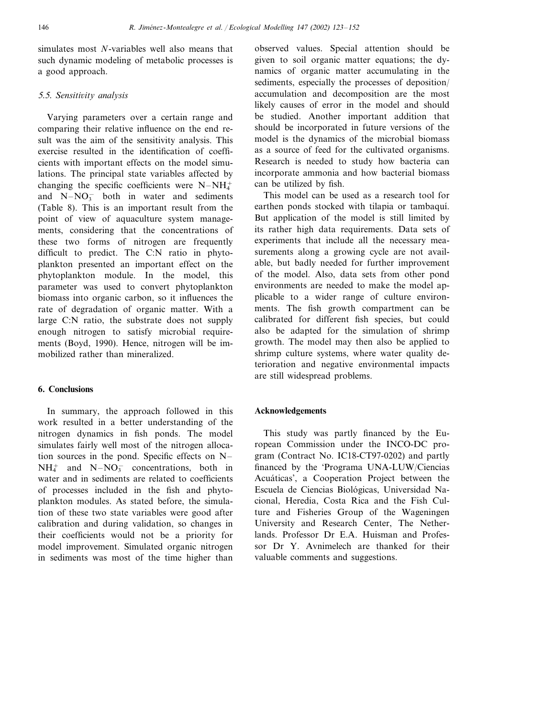simulates most *N*-variables well also means that such dynamic modeling of metabolic processes is a good approach.

# <sup>5</sup>.5. *Sensitiity analysis*

Varying parameters over a certain range and comparing their relative influence on the end result was the aim of the sensitivity analysis. This exercise resulted in the identification of coefficients with important effects on the model simulations. The principal state variables affected by changing the specific coefficients were  $N-NH_4^+$ and  $N-NO_3^-$  both in water and sediments (Table 8). This is an important result from the point of view of aquaculture system managements, considering that the concentrations of these two forms of nitrogen are frequently difficult to predict. The C:N ratio in phytoplankton presented an important effect on the phytoplankton module. In the model, this parameter was used to convert phytoplankton biomass into organic carbon, so it influences the rate of degradation of organic matter. With a large C:N ratio, the substrate does not supply enough nitrogen to satisfy microbial requirements (Boyd, 1990). Hence, nitrogen will be immobilized rather than mineralized.

# **6. Conclusions**

In summary, the approach followed in this work resulted in a better understanding of the nitrogen dynamics in fish ponds. The model simulates fairly well most of the nitrogen allocation sources in the pond. Specific effects on N–  $NH_4^+$  and  $N-NO_3^-$  concentrations, both in water and in sediments are related to coefficients of processes included in the fish and phytoplankton modules. As stated before, the simulation of these two state variables were good after calibration and during validation, so changes in their coefficients would not be a priority for model improvement. Simulated organic nitrogen in sediments was most of the time higher than observed values. Special attention should be given to soil organic matter equations; the dynamics of organic matter accumulating in the sediments, especially the processes of deposition/ accumulation and decomposition are the most likely causes of error in the model and should be studied. Another important addition that should be incorporated in future versions of the model is the dynamics of the microbial biomass as a source of feed for the cultivated organisms. Research is needed to study how bacteria can incorporate ammonia and how bacterial biomass can be utilized by fish.

This model can be used as a research tool for earthen ponds stocked with tilapia or tambaquí. But application of the model is still limited by its rather high data requirements. Data sets of experiments that include all the necessary measurements along a growing cycle are not available, but badly needed for further improvement of the model. Also, data sets from other pond environments are needed to make the model applicable to a wider range of culture environments. The fish growth compartment can be calibrated for different fish species, but could also be adapted for the simulation of shrimp growth. The model may then also be applied to shrimp culture systems, where water quality deterioration and negative environmental impacts are still widespread problems.

#### **Acknowledgements**

This study was partly financed by the European Commission under the INCO-DC program (Contract No. IC18-CT97-0202) and partly financed by the 'Programa UNA-LUW/Ciencias Acuáticas', a Cooperation Project between the Escuela de Ciencias Biológicas, Universidad Nacional, Heredia, Costa Rica and the Fish Culture and Fisheries Group of the Wageningen University and Research Center, The Netherlands. Professor Dr E.A. Huisman and Professor Dr Y. Avnimelech are thanked for their valuable comments and suggestions.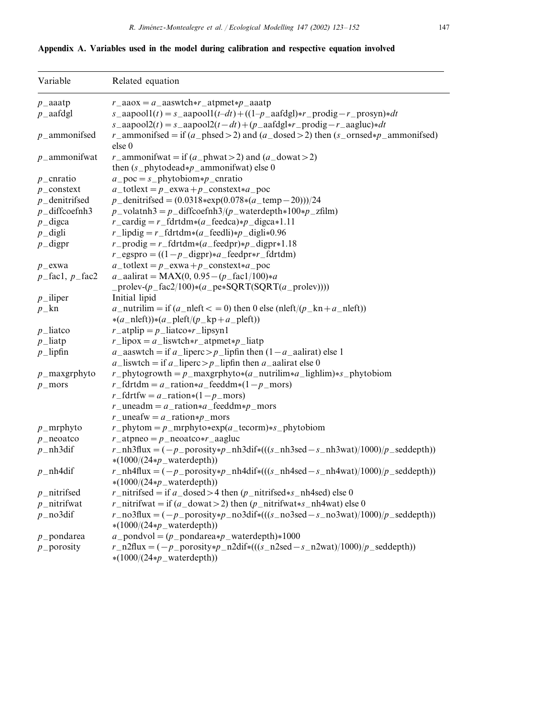| Variable                               | Related equation                                                                                                                                                                                                                                                                                                                                                                                                        |
|----------------------------------------|-------------------------------------------------------------------------------------------------------------------------------------------------------------------------------------------------------------------------------------------------------------------------------------------------------------------------------------------------------------------------------------------------------------------------|
| $p$ _aaatp                             | $r$ _aaox = $a$ _aaswtch*r_atpmet*p_aaatp                                                                                                                                                                                                                                                                                                                                                                               |
| $p$ _aafdgl                            | $s_a$ aapool1(t) = $s_a$ aapool1(t-dt) + ((1-p <sub>-</sub> aafdgl)*r_prodig-r_prosyn)*dt                                                                                                                                                                                                                                                                                                                               |
|                                        | $s_a$ aapool2(t) = $s_a$ aapool2(t-dt) + (p_aafdgl*r_prodig-r_aagluc)*dt                                                                                                                                                                                                                                                                                                                                                |
| $p$ <sub>-</sub> ammonifsed            | r_ammonifsed = if $(a$ <sub>phsed</sub> >2) and $(a$ <sub>dosed</sub> >2) then $(s$ <sub>parsed*p_ammonifsed</sub><br>else 0                                                                                                                                                                                                                                                                                            |
| $p$ _ammonifwat                        | r_ammonifwat = if $(a$ _phwat > 2) and $(a$ _dowat > 2)<br>then $(s$ <sup>-phytodead*p<sub>-ammonifwat</sub>) else 0</sup>                                                                                                                                                                                                                                                                                              |
| $p$ _cnratio                           | $a_{p}$ oc = $s_{p}$ hytobiom*p_cnratio                                                                                                                                                                                                                                                                                                                                                                                 |
| $p$ _constext                          | $a_{\text{tot}} = p_{\text{ex}} = p_{\text{co}} + p_{\text{co}} = p_{\text{co}}$                                                                                                                                                                                                                                                                                                                                        |
| $p$ _denitrifsed                       | $p_{\text{}}$ denitrifsed = (0.0318*exp(0.078*(a_temp-20)))/24                                                                                                                                                                                                                                                                                                                                                          |
| $p_{\text{-}}$ diff $\text{coeffn}$ h3 | $p_{\text{v}}$ volatnh3 = $p_{\text{v}}$ diff $\text{coeffn}$ h3/( $p_{\text{v}}$ waterdepth $*100*p_{\text{v}}$ zfilm)                                                                                                                                                                                                                                                                                                 |
| $p$ _digca                             | $r_{\text{c}} \text{cardig} = r_{\text{c}} \text{fdrtdm} \cdot (a_{\text{c}} \text{feedca}) \cdot p_{\text{d}} \text{igca} \cdot 1.11$                                                                                                                                                                                                                                                                                  |
| $p$ _digli                             | $r_{\perp}$ lipdig = $r_{\perp}$ fdrtdm*(a_feedli)* $p_{\perp}$ digli*0.96                                                                                                                                                                                                                                                                                                                                              |
| $p$ _digpr                             | $r_{\perp}$ prodig = $r_{\perp}$ fdrtdm*(a_feedpr)*p_digpr*1.18                                                                                                                                                                                                                                                                                                                                                         |
|                                        | $r_{\text{g}} = ((1-p_{\text{g}} - \text{dipr}) * a_{\text{g}} - \text{feedpr} * r_{\text{g}} - \text{fdrtdm})$                                                                                                                                                                                                                                                                                                         |
| $p$ _exwa                              | $a_{\text{tot}} = p_{\text{ex}} = p_{\text{co}} + p_{\text{co}} = p$                                                                                                                                                                                                                                                                                                                                                    |
| $p$ _fac1, $p$ _fac2                   | $a_{\text{}}$ aalirat = MAX(0, 0.95 – (p_fac1/100)*a                                                                                                                                                                                                                                                                                                                                                                    |
|                                        | $_{\text{prolev-}}(p_{\text{fac2}}/100)*(a_{\text{pe}}*SQRT(SQRT(a_{\text{prolev}})))$                                                                                                                                                                                                                                                                                                                                  |
| $p$ _iliper                            | Initial lipid                                                                                                                                                                                                                                                                                                                                                                                                           |
| $p_{\rm -}$ kn                         | $a$ nutrilim = if $(a$ nleft < = 0) then 0 else (nleft/ $(p_k + a$ nleft))                                                                                                                                                                                                                                                                                                                                              |
|                                        | $*(a_{\text{=}n}$ left $))*(a_{\text{=}p}$ left $/(p_{\text{=}kp} + a_{\text{}=p}$ left $))$                                                                                                                                                                                                                                                                                                                            |
| $p$ _liatco                            | $r_{\text{}}$ atplip = $p_{\text{}}$ liatco*r_lipsyn1                                                                                                                                                                                                                                                                                                                                                                   |
| $p$ _liatp                             | $r_{\perp}$ lipox = a_liswtch*r_atpmet*p_liatp                                                                                                                                                                                                                                                                                                                                                                          |
| $p$ _lipfin                            | $a_{\text{a}}$ aaswtch = if $a_{\text{a}}$ liperc > $p_{\text{a}}$ lipfin then (1 - $a_{\text{a}}$ aalirat) else 1                                                                                                                                                                                                                                                                                                      |
|                                        | a_liswtch = if a_liperc > p_lipfin then a_aalirat else 0                                                                                                                                                                                                                                                                                                                                                                |
| $p$ _maxgrphyto                        | $r$ _phytogrowth = $p$ _maxgrphyto*(a_nutrilim*a_lighlim)*s_phytobiom                                                                                                                                                                                                                                                                                                                                                   |
| $p$ _mors                              | $r_f$ fdrtdm = a_ration*a_feeddm*(1 - p_mors)                                                                                                                                                                                                                                                                                                                                                                           |
|                                        | $r_f$ fdrtfw = $a_f$ ration*(1 – $p_f$ mors)                                                                                                                                                                                                                                                                                                                                                                            |
|                                        | $r_{\text{}}$ uneadm = $a_{\text{}}$ ration* $a_{\text{}}$ feeddm* $p_{\text{}}$ mors                                                                                                                                                                                                                                                                                                                                   |
|                                        | $r_{\text{}}$ uneafw = $a_{\text{}}$ ration* $p_{\text{}}$ mors                                                                                                                                                                                                                                                                                                                                                         |
| $p$ _mrphyto                           | $r_{\perp}$ phytom = $p_{\perp}$ mrphyto*exp(a_tecorm)*s_phytobiom                                                                                                                                                                                                                                                                                                                                                      |
| $p$ _neoatco                           | $r_{\perp}$ atpneo = p_neoatco*r_aagluc                                                                                                                                                                                                                                                                                                                                                                                 |
| $p_{\text{}}$ nh3dif                   | $r_{nh}$ 3flux = $(-p_{p}$ porosity $*p_{nh}$ 3dif $*((s_{nh}$ 3sed - $s_{nh}$ 3wat $)/(1000)/p_{sh}$ seddepth $))$                                                                                                                                                                                                                                                                                                     |
|                                        | $*(1000/(24*p_waterdepth))$                                                                                                                                                                                                                                                                                                                                                                                             |
| $p_{-}$ nh4dif                         | $r_{\text{in}} + n + 4$ flux = $(-p_{\text{in}} + p_{\text{in}})$ + $p_{\text{in}} + 4$ and $\frac{s_{\text{in}} - s_{\text{in}} + s_{\text{out}}}{s_{\text{in}} + s_{\text{out}}}$ + $r_{\text{in}} + 4$ and $r_{\text{out}} + 2$ and $p_{\text{out}} + s_{\text{out}}$ and $p_{\text{out}} + s_{\text{out}}$ and $p_{\text{out}} + s_{\text{out}}$ and $p_{\text{out}} + s_{\text{out$<br>$*(1000/(24*p_waterdepth))$ |
| $p$ _nitrifsed                         | r_nitrifsed = if $a$ _dosed > 4 then $(p$ _nitrifsed*s_nh4sed) else 0                                                                                                                                                                                                                                                                                                                                                   |
| $p$ _nitrifwat                         | r_nitrifwat = if $(a_d$ dowat > 2) then $(p_$ nitrifwat*s_nh4wat) else 0                                                                                                                                                                                                                                                                                                                                                |
| $p$ _no3dif                            | $r\_no3$ flux = $(-p\_porosity * p\_no3$ dif * $(((s\_no3sed - s\_no3wat)/1000)/p\_seddepth))$                                                                                                                                                                                                                                                                                                                          |
|                                        | $*(1000/(24*p_waterdepth))$                                                                                                                                                                                                                                                                                                                                                                                             |
| $p$ <sub>-</sub> pondarea              | $a$ pondvol = $(p$ pondarea*p waterdepth)*1000                                                                                                                                                                                                                                                                                                                                                                          |
| $p$ <sub>-</sub> porosity              | $r$ _n2flux = $(-p$ _porosity*p_n2dif*( $((s_n 2 \text{ sed} - s_n 2 \text{wat})/1000)/p$ _seddepth))                                                                                                                                                                                                                                                                                                                   |
|                                        | $*(1000/(24*p_waterdepth))$                                                                                                                                                                                                                                                                                                                                                                                             |

|  | Appendix A. Variables used in the model during calibration and respective equation involved |  |  |  |  |  |  |  |  |  |  |
|--|---------------------------------------------------------------------------------------------|--|--|--|--|--|--|--|--|--|--|
|--|---------------------------------------------------------------------------------------------|--|--|--|--|--|--|--|--|--|--|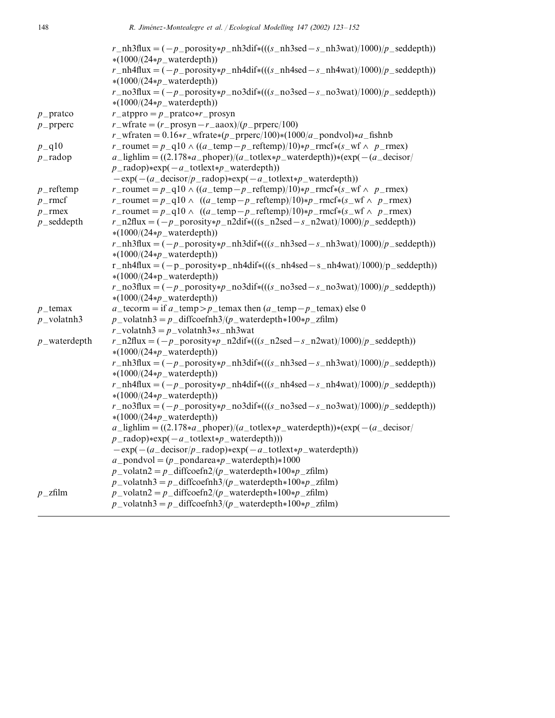|                 | r_nh3flux = $(-p_{\text{p}}\text{porosity} * p_{\text{p}}\text{nh}3\text{dif} * (((s_{\text{p}}\text{nh}3\text{sed} - s_{\text{p}}\text{nh}3\text{wat})/1000)/p_{\text{p}}\text{seddepth}))$             |
|-----------------|----------------------------------------------------------------------------------------------------------------------------------------------------------------------------------------------------------|
|                 | $*(1000/(24*p_waterdepth))$                                                                                                                                                                              |
|                 | $r_{nh}$ 4flux = $(-p_{p}$ porosity $\ast p_{nh}$ 4dif $\ast$ (((s_nh4sed - s_nh4wat)/1000)/p_seddepth))                                                                                                 |
|                 | $*(1000/(24*p_waterdepth))$<br>$r\_no3flux = (-p\_porosity*p\_no3diff*(( (s\_no3sed - s\_no3wat)/1000)/p\_seddepth))$                                                                                    |
|                 | $*(1000/(24*p_waterdepth))$                                                                                                                                                                              |
| $p$ _pratco     | $r_{\text{}}$ atppro = $p_{\text{}}$ pratco* $r_{\text{}}$ prosyn                                                                                                                                        |
| $p$ _prperc     | $r_{\perp}$ wfrate = $(r_{\perp}$ prosyn - $r_{\perp}$ aaox)/(p <sub>-prperc/100)</sub>                                                                                                                  |
|                 | r_wfraten = $0.16*r$ _wfrate*(p_prperc/100)*(1000/a_pondvol)*a_fishnb                                                                                                                                    |
| $p_{-}q10$      | r_roumet = $p_q10 \wedge ((a_temp - p_treftemp)/10) * p_rmcf*(s_wf \wedge p_rmex)$                                                                                                                       |
| $p$ _radop      | $a_{\text{light}} = ((2.178*a_{\text{p}}hoper)/(a_{\text{t}}otlex*p_{\text{w}}aterdepth))*(\exp(-(a_{\text{r}}decisor/$                                                                                  |
|                 | $p$ _radop)*exp(-a_totlext*p_waterdepth))                                                                                                                                                                |
|                 | $-exp(-(a_{\text{=}}decisor/p_{\text{=}}radop)*exp(-a_{\text{=}}totlext*p_{\text{=}}waterdepth))$                                                                                                        |
| $p$ _reftemp    | r_roumet = $p_q10 \wedge ((a_temp - p_treftemp)/10) * p_rmcf*(s_wf \wedge p_rmex)$                                                                                                                       |
| $p$ _rmcf       | r_roumet = $p_q10 \wedge ((a_temp - p_treftemp)/10)*p_rmcf*(s_wf \wedge p_rmex)$                                                                                                                         |
| $p$ _rmex       | r_roumet = $p_q10 \wedge ((a_temp - p_treftemp)/10) * p_rmcf*(s_wf \wedge p_rmex)$                                                                                                                       |
| $p$ _seddepth   | $r$ _n2flux = $(-p$ _porosity*p_n2dif*(((s_n2sed - s_n2wat)/1000)/p_seddepth))                                                                                                                           |
|                 | $*(1000/(24*p_waterdepth))$                                                                                                                                                                              |
|                 | $r_{nh}$ 3flux = $(-p_{p}$ porosity $\ast p_{nh}$ 3dif $\ast$ (((s_nh3sed - s_nh3wat)/1000)/p_seddepth))                                                                                                 |
|                 | $*(1000/(24*p_waterdepth))$                                                                                                                                                                              |
|                 | $r_{nh}$ 4flux = $(-p_{p}$ porosity*p_nh4dif*(((s_nh4sed - s_nh4wat)/1000)/p_seddepth))                                                                                                                  |
|                 | $*(1000/(24*p_waterdepth))$                                                                                                                                                                              |
|                 | $r\_no3$ flux = $(-p\_porosity*p\_no3dif*((((s\_no3sed - s\_no3wat)/1000)/p\_seddepth))$                                                                                                                 |
|                 | $*(1000/(24*p_waterdepth))$                                                                                                                                                                              |
| $p$ _temax      | $a_{\text{r}}$ tecorm = if $a_{\text{r}}$ temp > $p_{\text{r}}$ temax then $(a_{\text{r}}$ temp - $p_{\text{r}}$ temax) else 0                                                                           |
| $p$ _volatnh3   | $p_{\text{v}}$ volatnh3 = $p_{\text{d}}$ diffcoefnh3/( $p_{\text{v}}$ vaterdepth*100* $p_{\text{v}}$ zfilm)                                                                                              |
|                 | $r_{\rm v}$ volatnh $3 = p_{\rm v}$ volatnh $3 * s_{\rm v}$ nh $3$ wat                                                                                                                                   |
| $p$ _waterdepth | $r$ _n2flux = $(-p$ _porosity*p_n2dif*( $((s$ _n2sed - $s$ _n2wat)/1000)/p_seddepth))                                                                                                                    |
|                 | $*(1000/(24*p_waterdepth))$                                                                                                                                                                              |
|                 | $r_{nh}$ 3flux = $(-p_{p}$ porosity $\ast p_{nh}$ 3dif $\ast$ (((s_nh3sed - s_nh3wat)/1000)/p_seddepth))                                                                                                 |
|                 | $*(1000/(24*p_waterdepth))$                                                                                                                                                                              |
|                 | $r_{nh}$ 4flux = $(-p_{pt}$ porosity $\ast p_{nh}$ 4dif $\ast$ (((s_nh4sed - s_nh4wat)/1000)/p_seddepth))<br>$*(1000/(24*p_waterdepth))$                                                                 |
|                 | $r\_no3$ flux = $(-p\_porosity*p\_no3diff*(( (s\_no3sed - s\_no3wat)/1000)/p\_seddepth))$                                                                                                                |
|                 | $*(1000/(24*p_waterdepth))$                                                                                                                                                                              |
|                 | $a_{\text{light}} = ((2.178*a_{\text{p}}) / (a_{\text{total}} \cdot \text{totlex} \cdot \text{p}) / (a_{\text{total}} \cdot \text{totlex} \cdot \text{ph})$ $*(exp(-(a_{\text{d}} \cdot \text{decisor})$ |
|                 | $p$ _radop)*exp(-a_totlext*p_waterdepth)))                                                                                                                                                               |
|                 | $-\exp(-(a_\text{=decisor}/p_\text{=radop})*\exp(-a_\text{=totlex}+p_\text{=waterdepth}))$                                                                                                               |
|                 | $a$ pondvol = $(p$ pondarea*p_waterdepth)*1000                                                                                                                                                           |
|                 | $p_{\text{v}}$ volatn $2 = p_{\text{v}}$ diff $\frac{\text{coefn2}}{p_{\text{v}}}$ waterdepth $*100 \cdot p_{\text{v}}$ zfilm)                                                                           |
|                 | $p_{\text{v}}$ volatnh3 = $p_{\text{d}}$ diff $\text{coeffn}3/(p_{\text{v}})$ waterdepth $*100*p_{\text{v}}$ zfilm)                                                                                      |
| $p$ _zfilm      | $p_{\text{v}}$ volatn2 = $p_{\text{d}}$ tiffcoefn2/( $p_{\text{v}}$ waterdepth*100* $p_{\text{v}}$ zfilm)                                                                                                |
|                 | $p_{\text{v}}$ volatnh3 = $p_{\text{d}}$ diff $\text{coeffn}3/(p_{\text{v}})$ waterdepth $*100*p_{\text{v}}$ zfilm)                                                                                      |
|                 |                                                                                                                                                                                                          |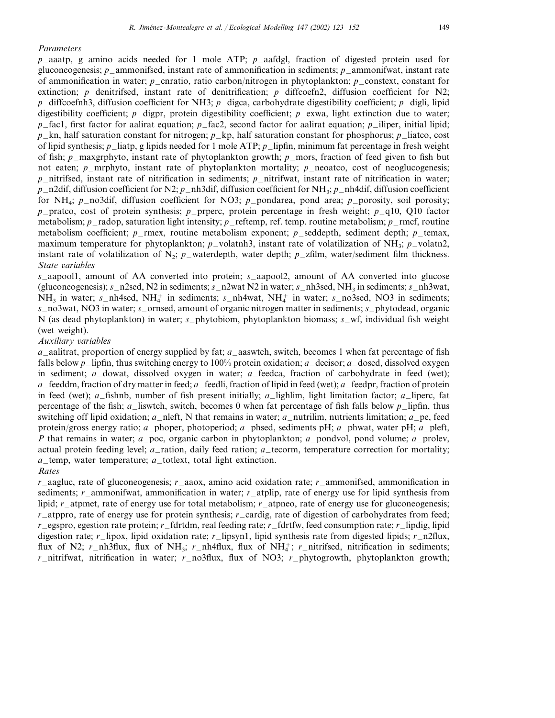#### *Parameters*

*p*–aaatp, g amino acids needed for 1 mole ATP; *p*–aafdgl, fraction of digested protein used for gluconeogenesis; *p*–ammonifsed, instant rate of ammonification in sediments; *p*–ammonifwat, instant rate of ammonification in water; *p*–cnratio, ratio carbon/nitrogen in phytoplankton; *p*–constext, constant for extinction; *p*–denitrifsed, instant rate of denitrification; *p*–diffcoefn2, diffusion coefficient for N2; *p*–diffcoefnh3, diffusion coefficient for NH3; *p*–digca, carbohydrate digestibility coefficient; *p*–digli, lipid digestibility coefficient; *p*–digpr, protein digestibility coefficient; *p*–exwa, light extinction due to water; *p*–fac1, first factor for aalirat equation; *p*–fac2, second factor for aalirat equation; *p*–iliper, initial lipid; *p*–kn, half saturation constant for nitrogen; *p*–kp, half saturation constant for phosphorus; *p*–liatco, cost of lipid synthesis; *p*–liatp, g lipids needed for 1 mole ATP; *p*–lipfin, minimum fat percentage in fresh weight of fish; *p*–maxgrphyto, instant rate of phytoplankton growth; *p*–mors, fraction of feed given to fish but not eaten; *p*–mrphyto, instant rate of phytoplankton mortality; *p*–neoatco, cost of neoglucogenesis; *p*–nitrifsed, instant rate of nitrification in sediments; *p*–nitrifwat, instant rate of nitrification in water; *p*–n2dif, diffusion coefficient for N2; *p*–nh3dif, diffusion coefficient for NH3; *p*–nh4dif, diffusion coefficient for NH4; *p*–no3dif, diffusion coefficient for NO3; *p*–pondarea, pond area; *p*–porosity, soil porosity; *p*–pratco, cost of protein synthesis; *p*–prperc, protein percentage in fresh weight; *p*–q10, Q10 factor metabolism; *p*–radop, saturation light intensity; *p*–reftemp, ref. temp. routine metabolism; *p*–rmcf, routine metabolism coefficient; *p*–rmex, routine metabolism exponent; *p*–seddepth, sediment depth; *p*–temax, maximum temperature for phytoplankton;  $p$ <sub>–volatnh3</sub>, instant rate of volatilization of NH<sub>3</sub>;  $p$ <sub>–volatn2</sub>, instant rate of volatilization of N<sub>2</sub>;  $p$ <sup>–</sup>waterdepth, water depth;  $p$ <sup>–</sup>zfilm, water/sediment film thickness. *State ariables*

*s*–aapool1, amount of AA converted into protein; *s*–aapool2, amount of AA converted into glucose (gluconeogenesis); *s*–n2sed, N2 in sediments; *s*–n2wat N2 in water; *s*–nh3sed, NH3 in sediments; *s*–nh3wat, NH<sub>3</sub> in water; *s*\_nh4sed, NH<sub>4</sub><sup>+</sup> in sediments; *s*\_nh4wat, NH<sub>4</sub><sup>+</sup> in water; *s*\_no3sed, NO3 in sediments; *s*–no3wat, NO3 in water; *s*–ornsed, amount of organic nitrogen matter in sediments; *s*–phytodead, organic N (as dead phytoplankton) in water; *s*–phytobiom, phytoplankton biomass; *s*–wf, individual fish weight (wet weight).

# *Auxiliary ariables*

*a*–aalitrat, proportion of energy supplied by fat; *a*–aaswtch, switch, becomes 1 when fat percentage of fish falls below *p*–lipfin, thus switching energy to 100% protein oxidation; *a*–decisor; *a*–dosed, dissolved oxygen in sediment; *a*–dowat, dissolved oxygen in water; *a*–feedca, fraction of carbohydrate in feed (wet); *a*–feeddm, fraction of dry matter in feed; *a*–feedli, fraction of lipid in feed (wet); *a*–feedpr, fraction of protein in feed (wet); *a*–fishnb, number of fish present initially; *a*–lighlim, light limitation factor; *a*–liperc, fat percentage of the fish; *a*–liswtch, switch, becomes 0 when fat percentage of fish falls below *p*–lipfin, thus switching off lipid oxidation; *a*–nleft, N that remains in water; *a*–nutrilim, nutrients limitation; *a*–pe, feed protein/gross energy ratio; *a*–phoper, photoperiod; *a*–phsed, sediments pH; *a*–phwat, water pH; *a*–pleft, *P* that remains in water; *a*<sub>-poc</sub>, organic carbon in phytoplankton; *a*<sub>-pondvol, pond volume; *a*<sub>-prolev</sub>,</sub> actual protein feeding level; *a*–ration, daily feed ration; *a*–tecorm, temperature correction for mortality; *a*–temp, water temperature; *a*–totlext, total light extinction.

# *Rates*

*r*–aagluc, rate of gluconeogenesis; *r*–aaox, amino acid oxidation rate; *r*–ammonifsed, ammonification in sediments; *r*–ammonifwat, ammonification in water; *r*–atplip, rate of energy use for lipid synthesis from lipid; *r*<sub>–</sub>atpmet, rate of energy use for total metabolism; *r*<sub>–</sub>atpneo, rate of energy use for gluconeogenesis; *r*–atppro, rate of energy use for protein synthesis; *r*–cardig, rate of digestion of carbohydrates from feed; *r*–egspro, egestion rate protein; *r*–fdrtdm, real feeding rate; *r*–fdrtfw, feed consumption rate; *r*–lipdig, lipid digestion rate; *r*–lipox, lipid oxidation rate; *r*–lipsyn1, lipid synthesis rate from digested lipids; *r*–n2flux, flux of N2; *r*<sub>–</sub>nh3flux, flux of NH<sub>3</sub>; *r*<sub>–</sub>nh4flux, flux of NH<sub>4</sub><sup>+</sup>; *r*<sub>–</sub>nitrification in sediments; *r*–nitrifwat, nitrification in water; *r*–no3flux, flux of NO3; *r*–phytogrowth, phytoplankton growth;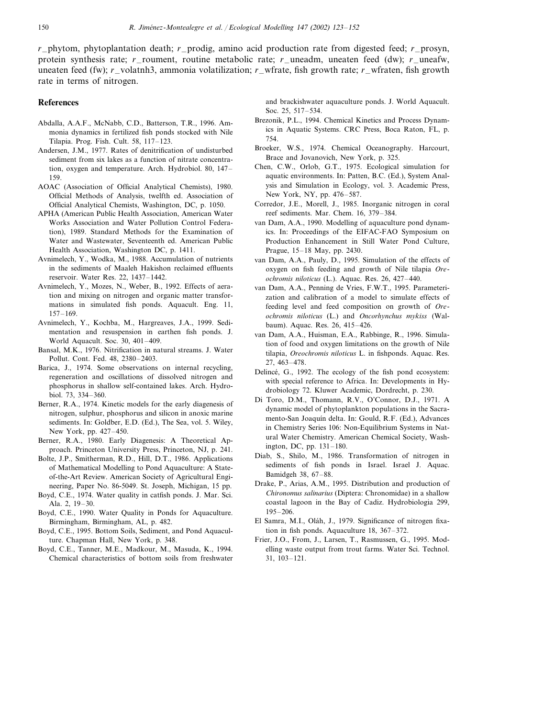*r*–phytom, phytoplantation death; *r*–prodig, amino acid production rate from digested feed; *r*–prosyn, protein synthesis rate; *r*–roument, routine metabolic rate; *r*–uneadm, uneaten feed (dw); *r*–uneafw, uneaten feed (fw); *r*–volatnh3, ammonia volatilization; *r*–wfrate, fish growth rate; *r*–wfraten, fish growth rate in terms of nitrogen.

#### **References**

- Abdalla, A.A.F., McNabb, C.D., Batterson, T.R., 1996. Ammonia dynamics in fertilized fish ponds stocked with Nile Tilapia. Prog. Fish. Cult. 58, 117–123.
- Andersen, J.M., 1977. Rates of denitrification of undisturbed sediment from six lakes as a function of nitrate concentration, oxygen and temperature. Arch. Hydrobiol. 80, 147– 159.
- AOAC (Association of Official Analytical Chemists), 1980. Official Methods of Analysis, twelfth ed. Association of Official Analytical Chemists, Washington, DC, p. 1050.
- APHA (American Public Health Association, American Water Works Association and Water Pollution Control Federation), 1989. Standard Methods for the Examination of Water and Wastewater, Seventeenth ed. American Public Health Association, Washington DC, p. 1411.
- Avnimelech, Y., Wodka, M., 1988. Accumulation of nutrients in the sediments of Maaleh Hakishon reclaimed effluents reservoir. Water Res. 22, 1437–1442.
- Avnimelech, Y., Mozes, N., Weber, B., 1992. Effects of aeration and mixing on nitrogen and organic matter transformations in simulated fish ponds. Aquacult. Eng. 11, 157–169.
- Avnimelech, Y., Kochba, M., Hargreaves, J.A., 1999. Sedimentation and resuspension in earthen fish ponds. J. World Aquacult. Soc. 30, 401–409.
- Bansal, M.K., 1976. Nitrification in natural streams. J. Water Pollut. Cont. Fed. 48, 2380–2403.
- Barica, J., 1974. Some observations on internal recycling, regeneration and oscillations of dissolved nitrogen and phosphorus in shallow self-contained lakes. Arch. Hydrobiol. 73, 334–360.
- Berner, R.A., 1974. Kinetic models for the early diagenesis of nitrogen, sulphur, phosphorus and silicon in anoxic marine sediments. In: Goldber, E.D. (Ed.), The Sea, vol. 5. Wiley, New York, pp. 427–450.
- Berner, R.A., 1980. Early Diagenesis: A Theoretical Approach. Princeton University Press, Princeton, NJ, p. 241.
- Bolte, J.P., Smitherman, R.D., Hill, D.T., 1986. Applications of Mathematical Modelling to Pond Aquaculture: A Stateof-the-Art Review. American Society of Agricultural Engineering, Paper No. 86-5049. St. Joseph, Michigan, 15 pp.
- Boyd, C.E., 1974. Water quality in catfish ponds. J. Mar. Sci. Ala. 2, 19–30.
- Boyd, C.E., 1990. Water Quality in Ponds for Aquaculture. Birmingham, Birmingham, AL, p. 482.
- Boyd, C.E., 1995. Bottom Soils, Sediment, and Pond Aquaculture. Chapman Hall, New York, p. 348.
- Boyd, C.E., Tanner, M.E., Madkour, M., Masuda, K., 1994. Chemical characteristics of bottom soils from freshwater

and brackishwater aquaculture ponds. J. World Aquacult. Soc. 25, 517–534.

- Brezonik, P.L., 1994. Chemical Kinetics and Process Dynamics in Aquatic Systems. CRC Press, Boca Raton, FL, p. 754.
- Broeker, W.S., 1974. Chemical Oceanography. Harcourt, Brace and Jovanovich, New York, p. 325.
- Chen, C.W., Orlob, G.T., 1975. Ecological simulation for aquatic environments. In: Patten, B.C. (Ed.), System Analysis and Simulation in Ecology, vol. 3. Academic Press, New York, NY, pp. 476–587.
- Corredor, J.E., Morell, J., 1985. Inorganic nitrogen in coral reef sediments. Mar. Chem. 16, 379–384.
- van Dam, A.A., 1990. Modelling of aquaculture pond dynamics. In: Proceedings of the EIFAC-FAO Symposium on Production Enhancement in Still Water Pond Culture, Prague, 15–18 May, pp. 2430.
- van Dam, A.A., Pauly, D., 1995. Simulation of the effects of oxygen on fish feeding and growth of Nile tilapia *Oreochromis niloticus* (L.). Aquac. Res. 26, 427–440.
- van Dam, A.A., Penning de Vries, F.W.T., 1995. Parameterization and calibration of a model to simulate effects of feeding level and feed composition on growth of *Oreochromis niloticus* (L.) and *Oncorhynchus mykiss* (Walbaum). Aquac. Res. 26, 415–426.
- van Dam, A.A., Huisman, E.A., Rabbinge, R., 1996. Simulation of food and oxygen limitations on the growth of Nile tilapia, *Oreochromis niloticus* L. in fishponds. Aquac. Res. 27, 463–478.
- Delincé, G., 1992. The ecology of the fish pond ecosystem: with special reference to Africa. In: Developments in Hydrobiology 72. Kluwer Academic, Dordrecht, p. 230.
- Di Toro, D.M., Thomann, R.V., O'Connor, D.J., 1971. A dynamic model of phytoplankton populations in the Sacramento-San Joaquín delta. In: Gould, R.F. (Ed.), Advances in Chemistry Series 106: Non-Equilibrium Systems in Natural Water Chemistry. American Chemical Society, Washington, DC, pp. 131–180.
- Diab, S., Shilo, M., 1986. Transformation of nitrogen in sediments of fish ponds in Israel. Israel J. Aquac. Bamidgeh 38, 67–88.
- Drake, P., Arias, A.M., 1995. Distribution and production of *Chironomus salinarius* (Diptera: Chronomidae) in a shallow coastal lagoon in the Bay of Cadiz. Hydrobiologia 299, 195–206.
- El Samra, M.I., Oláh, J., 1979. Significance of nitrogen fixation in fish ponds. Aquaculture 18, 367–372.
- Frier, J.O., From, J., Larsen, T., Rasmussen, G., 1995. Modelling waste output from trout farms. Water Sci. Technol. 31, 103–121.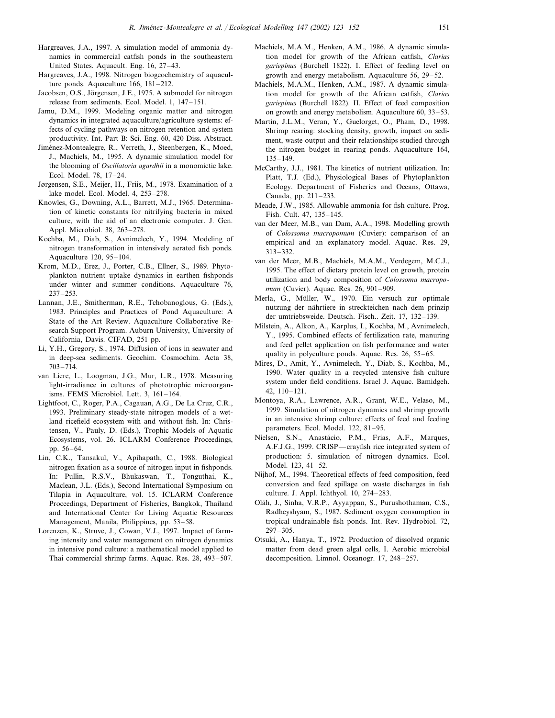- Hargreaves, J.A., 1997. A simulation model of ammonia dynamics in commercial catfish ponds in the southeastern United States. Aquacult. Eng. 16, 27–43.
- Hargreaves, J.A., 1998. Nitrogen biogeochemistry of aquaculture ponds. Aquaculture 166, 181–212.
- Jacobsen, O.S., Jörgensen, J.E., 1975. A submodel for nitrogen release from sediments. Ecol. Model. 1, 147–151.
- Jamu, D.M., 1999. Modeling organic matter and nitrogen dynamics in integrated aquaculture/agriculture systems: effects of cycling pathways on nitrogen retention and system productivity. Int. Part B: Sci. Eng. 60, 420 Diss. Abstract.
- Jiménez-Montealegre, R., Verreth, J., Steenbergen, K., Moed, J., Machiels, M., 1995. A dynamic simulation model for the blooming of *Oscillatoria agardhii* in a monomictic lake. Ecol. Model. 78, 17–24.
- Jørgensen, S.E., Meijer, H., Friis, M., 1978. Examination of a lake model. Ecol. Model. 4, 253–278.
- Knowles, G., Downing, A.L., Barrett, M.J., 1965. Determination of kinetic constants for nitrifying bacteria in mixed culture, with the aid of an electronic computer. J. Gen. Appl. Microbiol. 38, 263–278.
- Kochba, M., Diab, S., Avnimelech, Y., 1994. Modeling of nitrogen transformation in intensively aerated fish ponds. Aquaculture 120, 95–104.
- Krom, M.D., Erez, J., Porter, C.B., Ellner, S., 1989. Phytoplankton nutrient uptake dynamics in earthen fishponds under winter and summer conditions. Aquaculture 76, 237–253.
- Lannan, J.E., Smitherman, R.E., Tchobanoglous, G. (Eds.), 1983. Principles and Practices of Pond Aquaculture: A State of the Art Review. Aquaculture Collaborative Research Support Program. Auburn University, University of California, Davis. CIFAD, 251 pp.
- Li, Y.H., Gregory, S., 1974. Diffusion of ions in seawater and in deep-sea sediments. Geochim. Cosmochim. Acta 38, 703–714.
- van Liere, L., Loogman, J.G., Mur, L.R., 1978. Measuring light-irradiance in cultures of phototrophic microorganisms. FEMS Microbiol. Lett. 3, 161–164.
- Lightfoot, C., Roger, P.A., Cagauan, A.G., De La Cruz, C.R., 1993. Preliminary steady-state nitrogen models of a wetland ricefield ecosystem with and without fish. In: Christensen, V., Pauly, D. (Eds.), Trophic Models of Aquatic Ecosystems, vol. 26. ICLARM Conference Proceedings, pp. 56–64.
- Lin, C.K., Tansakul, V., Apihapath, C., 1988. Biological nitrogen fixation as a source of nitrogen input in fishponds. In: Pullin, R.S.V., Bhukaswan, T., Tonguthai, K., Maclean, J.L. (Eds.), Second International Symposium on Tilapia in Aquaculture, vol. 15. ICLARM Conference Proceedings, Department of Fisheries, Bangkok, Thailand and International Center for Living Aquatic Resources Management, Manila, Philippines, pp. 53–58.
- Lorenzen, K., Struve, J., Cowan, V.J., 1997. Impact of farming intensity and water management on nitrogen dynamics in intensive pond culture: a mathematical model applied to Thai commercial shrimp farms. Aquac. Res. 28, 493–507.
- Machiels, M.A.M., Henken, A.M., 1986. A dynamic simulation model for growth of the African catfish, *Clarias gariepinus* (Burchell 1822). I. Effect of feeding level on growth and energy metabolism. Aquaculture 56, 29–52.
- Machiels, M.A.M., Henken, A.M., 1987. A dynamic simulation model for growth of the African catfish, *Clarias gariepinus* (Burchell 1822). II. Effect of feed composition on growth and energy metabolism. Aquaculture 60, 33–53.
- Martin, J.L.M., Veran, Y., Guelorget, O., Pham, D., 1998. Shrimp rearing: stocking density, growth, impact on sediment, waste output and their relationships studied through the nitrogen budget in rearing ponds. Aquaculture 164, 135–149.
- McCarthy, J.J., 1981. The kinetics of nutrient utilization. In: Platt, T.J. (Ed.), Physiological Bases of Phytoplankton Ecology. Department of Fisheries and Oceans, Ottawa, Canada, pp. 211–233.
- Meade, J.W., 1985. Allowable ammonia for fish culture. Prog. Fish. Cult. 47, 135–145.
- van der Meer, M.B., van Dam, A.A., 1998. Modelling growth of *Colossoma macropomum* (Cuvier): comparison of an empirical and an explanatory model. Aquac. Res. 29, 313–332.
- van der Meer, M.B., Machiels, M.A.M., Verdegem, M.C.J., 1995. The effect of dietary protein level on growth, protein utilization and body composition of *Colossoma macropomum* (Cuvier). Aquac. Res. 26, 901–909.
- Merla, G., Müller, W., 1970. Ein versuch zur optimale nutzung der nährtiere in streckteichen nach dem prinzip der umtriebsweide. Deutsch. Fisch.. Zeit. 17, 132–139.
- Milstein, A., Alkon, A., Karplus, I., Kochba, M., Avnimelech, Y., 1995. Combined effects of fertilization rate, manuring and feed pellet application on fish performance and water quality in polyculture ponds. Aquac. Res. 26, 55–65.
- Mires, D., Amit, Y., Avnimelech, Y., Diab, S., Kochba, M., 1990. Water quality in a recycled intensive fish culture system under field conditions. Israel J. Aquac. Bamidgeh. 42, 110–121.
- Montoya, R.A., Lawrence, A.R., Grant, W.E., Velaso, M., 1999. Simulation of nitrogen dynamics and shrimp growth in an intensive shrimp culture: effects of feed and feeding parameters. Ecol. Model. 122, 81–95.
- Nielsen, S.N., Anastácio, P.M., Frias, A.F., Marques, A.F.J.G., 1999. CRISP—crayfish rice integrated system of production: 5. simulation of nitrogen dynamics. Ecol. Model. 123, 41–52.
- Nijhof, M., 1994. Theoretical effects of feed composition, feed conversion and feed spillage on waste discharges in fish culture. J. Appl. Ichthyol. 10, 274–283.
- Ola´h, J., Sinha, V.R.P., Ayyappan, S., Purushothaman, C.S., Radheyshyam, S., 1987. Sediment oxygen consumption in tropical undrainable fish ponds. Int. Rev. Hydrobiol. 72, 297–305.
- Otsuki, A., Hanya, T., 1972. Production of dissolved organic matter from dead green algal cells, I. Aerobic microbial decomposition. Limnol. Oceanogr. 17, 248–257.